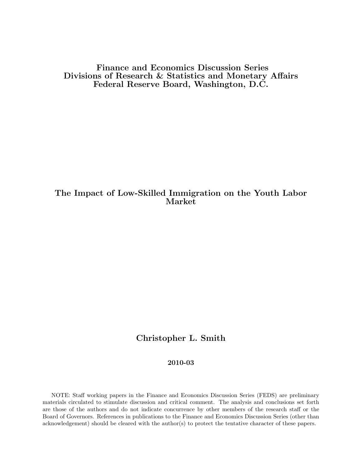Finance and Economics Discussion Series Divisions of Research & Statistics and Monetary Affairs Federal Reserve Board, Washington, D.C.

# The Impact of Low-Skilled Immigration on the Youth Labor Market

# Christopher L. Smith

# 2010-03

NOTE: Staff working papers in the Finance and Economics Discussion Series (FEDS) are preliminary materials circulated to stimulate discussion and critical comment. The analysis and conclusions set forth are those of the authors and do not indicate concurrence by other members of the research staff or the Board of Governors. References in publications to the Finance and Economics Discussion Series (other than acknowledgement) should be cleared with the author(s) to protect the tentative character of these papers.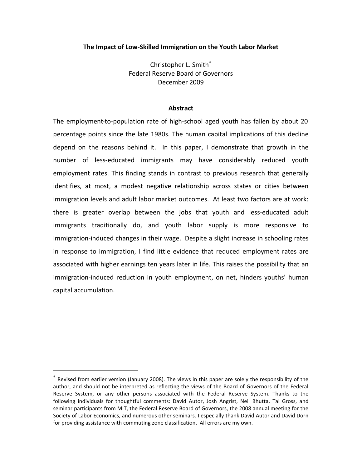## **The Impact of Low-Skilled Immigration on the Youth Labor Market**

Christopher L. Smith<sup>\*</sup> Federal Reserve Board of Governors December 2009

#### **Abstract**

The employment-to-population rate of high-school aged youth has fallen by about 20 percentage points since the late 1980s. The human capital implications of this decline depend on the reasons behind it. In this paper, I demonstrate that growth in the number of less‐educated immigrants may have considerably reduced youth employment rates. This finding stands in contrast to previous research that generally identifies, at most, a modest negative relationship across states or cities between immigration levels and adult labor market outcomes. At least two factors are at work: there is greater overlap between the jobs that youth and less‐educated adult immigrants traditionally do, and youth labor supply is more responsive to immigration‐induced changes in their wage. Despite a slight increase in schooling rates in response to immigration, I find little evidence that reduced employment rates are associated with higher earnings ten years later in life. This raises the possibility that an immigration‐induced reduction in youth employment, on net, hinders youths' human capital accumulation.

 $\overline{a}$ 

<span id="page-1-0"></span><sup>∗</sup> Revised from earlier version (January 2008). The views in this paper are solely the responsibility of the author, and should not be interpreted as reflecting the views of the Board of Governors of the Federal Reserve System, or any other persons associated with the Federal Reserve System. Thanks to the following individuals for thoughtful comments: David Autor, Josh Angrist, Neil Bhutta, Tal Gross, and seminar participants from MIT, the Federal Reserve Board of Governors, the 2008 annual meeting for the Society of Labor Economics, and numerous other seminars. I especially thank David Autor and David Dorn for providing assistance with commuting zone classification. All errors are my own.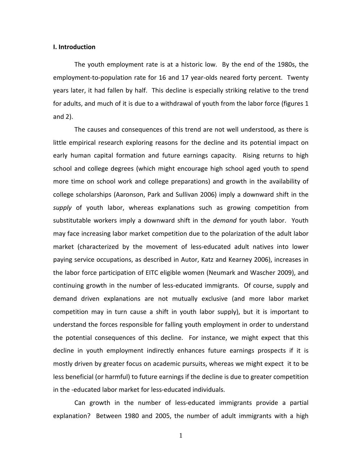#### **I. Introduction**

The youth employment rate is at a historic low. By the end of the 1980s, the employment-to-population rate for 16 and 17 year-olds neared forty percent. Twenty years later, it had fallen by half. This decline is especially striking relative to the trend for adults, and much of it is due to a withdrawal of youth from the labor force (figures 1 and 2).

The causes and consequences of this trend are not well understood, as there is little empirical research exploring reasons for the decline and its potential impact on early human capital formation and future earnings capacity. Rising returns to high school and college degrees (which might encourage high school aged youth to spend more time on school work and college preparations) and growth in the availability of college scholarships (Aaronson, Park and Sullivan 2006) imply a downward shift in the *supply* of youth labor, whereas explanations such as growing competition from substitutable workers imply a downward shift in the *demand* for youth labor. Youth may face increasing labor market competition due to the polarization of the adult labor market (characterized by the movement of less-educated adult natives into lower paying service occupations, as described in Autor, Katz and Kearney 2006), increases in the labor force participation of EITC eligible women (Neumark and Wascher 2009), and continuing growth in the number of less-educated immigrants. Of course, supply and demand driven explanations are not mutually exclusive (and more labor market competition may in turn cause a shift in youth labor supply), but it is important to understand the forces responsible for falling youth employment in order to understand the potential consequences of this decline. For instance, we might expect that this decline in youth employment indirectly enhances future earnings prospects if it is mostly driven by greater focus on academic pursuits, whereas we might expect it to be less beneficial (or harmful) to future earnings if the decline is due to greater competition in the -educated labor market for less-educated individuals.

Can growth in the number of less-educated immigrants provide a partial explanation? Between 1980 and 2005, the number of adult immigrants with a high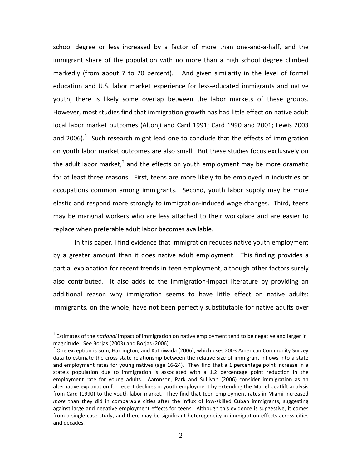school degree or less increased by a factor of more than one-and-a-half, and the immigrant share of the population with no more than a high school degree climbed markedly (from about 7 to 20 percent). And given similarity in the level of formal education and U.S. labor market experience for less-educated immigrants and native youth, there is likely some overlap between the labor markets of these groups. However, most studies find that immigration growth has had little effect on native adult local labor market outcomes (Altonji and Card 1991; Card 1990 and 2001; Lewis 2003 and 2006).<sup>[1](#page-3-0)</sup> Such research might lead one to conclude that the effects of immigration on youth labor market outcomes are also small. But these studies focus exclusively on the adult labor market,<sup>[2](#page-3-1)</sup> and the effects on youth employment may be more dramatic for at least three reasons. First, teens are more likely to be employed in industries or occupations common among immigrants. Second, youth labor supply may be more elastic and respond more strongly to immigration-induced wage changes. Third, teens may be marginal workers who are less attached to their workplace and are easier to replace when preferable adult labor becomes available.

In this paper, I find evidence that immigration reduces native youth employment by a greater amount than it does native adult employment. This finding provides a partial explanation for recent trends in teen employment, although other factors surely also contributed. It also adds to the immigration-impact literature by providing an additional reason why immigration seems to have little effect on native adults: immigrants, on the whole, have not been perfectly substitutable for native adults over

<span id="page-3-0"></span><sup>1</sup> Estimates of the *national* impact of immigration on native employment tend to be negative and larger in magnitude. See Borjas (2003) and Borjas (2006).

<span id="page-3-1"></span> $2$  One exception is Sum, Harrington, and Kathiwada (2006), which uses 2003 American Community Survey data to estimate the cross-state relationship between the relative size of immigrant inflows into a state and employment rates for young natives (age 16-24). They find that a 1 percentage point increase in a state's population due to immigration is associated with a 1.2 percentage point reduction in the employment rate for young adults. Aaronson, Park and Sullivan (2006) consider immigration as an alternative explanation for recent declines in youth employment by extending the Mariel boatlift analysis from Card (1990) to the youth labor market. They find that teen employment rates in Miami increased *more* than they did in comparable cities after the influx of low-skilled Cuban immigrants, suggesting against large and negative employment effects for teens. Although this evidence is suggestive, it comes from a single case study, and there may be significant heterogeneity in immigration effects across cities and decades.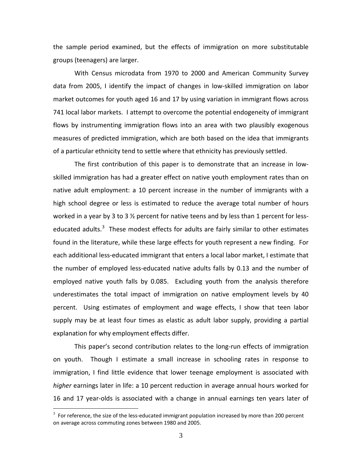the sample period examined, but the effects of immigration on more substitutable groups (teenagers) are larger.

With Census microdata from 1970 to 2000 and American Community Survey data from 2005, I identify the impact of changes in low-skilled immigration on labor market outcomes for youth aged 16 and 17 by using variation in immigrant flows across 741 local labor markets. I attempt to overcome the potential endogeneity of immigrant flows by instrumenting immigration flows into an area with two plausibly exogenous measures of predicted immigration, which are both based on the idea that immigrants of a particular ethnicity tend to settle where that ethnicity has previously settled.

The first contribution of this paper is to demonstrate that an increase in lowskilled immigration has had a greater effect on native youth employment rates than on native adult employment: a 10 percent increase in the number of immigrants with a high school degree or less is estimated to reduce the average total number of hours worked in a year by 3 to 3  $\frac{1}{2}$  percent for native teens and by less than 1 percent for less-educated adults.<sup>[3](#page-4-0)</sup> These modest effects for adults are fairly similar to other estimates found in the literature, while these large effects for youth represent a new finding. For each additional less-educated immigrant that enters a local labor market, I estimate that the number of employed less-educated native adults falls by 0.13 and the number of employed native youth falls by 0.085. Excluding youth from the analysis therefore underestimates the total impact of immigration on native employment levels by 40 percent. Using estimates of employment and wage effects, I show that teen labor supply may be at least four times as elastic as adult labor supply, providing a partial explanation for why employment effects differ.

This paper's second contribution relates to the long-run effects of immigration on youth. Though I estimate a small increase in schooling rates in response to immigration, I find little evidence that lower teenage employment is associated with *higher* earnings later in life: a 10 percent reduction in average annual hours worked for 16 and 17 year-olds is associated with a change in annual earnings ten years later of

<span id="page-4-0"></span> $3$  For reference, the size of the less-educated immigrant population increased by more than 200 percent on average across commuting zones between 1980 and 2005.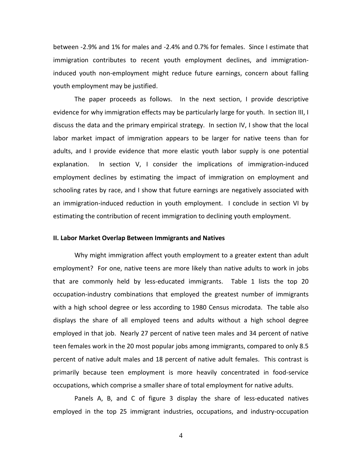between -2.9% and 1% for males and -2.4% and 0.7% for females. Since I estimate that immigration contributes to recent youth employment declines, and immigrationinduced youth non-employment might reduce future earnings, concern about falling youth employment may be justified.

The paper proceeds as follows. In the next section, I provide descriptive evidence for why immigration effects may be particularly large for youth. In section III, I discuss the data and the primary empirical strategy. In section IV, I show that the local labor market impact of immigration appears to be larger for native teens than for adults, and I provide evidence that more elastic youth labor supply is one potential explanation. In section V, I consider the implications of immigration-induced employment declines by estimating the impact of immigration on employment and schooling rates by race, and I show that future earnings are negatively associated with an immigration-induced reduction in youth employment. I conclude in section VI by estimating the contribution of recent immigration to declining youth employment.

# **II. Labor Market Overlap Between Immigrants and Natives**

Why might immigration affect youth employment to a greater extent than adult employment? For one, native teens are more likely than native adults to work in jobs that are commonly held by less-educated immigrants. Table 1 lists the top 20 occupation-industry combinations that employed the greatest number of immigrants with a high school degree or less according to 1980 Census microdata. The table also displays the share of all employed teens and adults without a high school degree employed in that job. Nearly 27 percent of native teen males and 34 percent of native teen females work in the 20 most popular jobs among immigrants, compared to only 8.5 percent of native adult males and 18 percent of native adult females. This contrast is primarily because teen employment is more heavily concentrated in food-service occupations, which comprise a smaller share of total employment for native adults.

Panels A, B, and C of figure 3 display the share of less-educated natives employed in the top 25 immigrant industries, occupations, and industry-occupation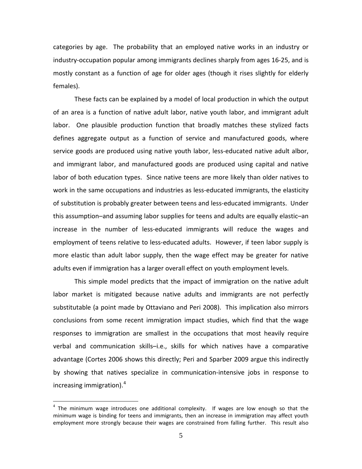categories by age. The probability that an employed native works in an industry or industry-occupation popular among immigrants declines sharply from ages 16-25, and is mostly constant as a function of age for older ages (though it rises slightly for elderly females).

These facts can be explained by a model of local production in which the output of an area is a function of native adult labor, native youth labor, and immigrant adult labor. One plausible production function that broadly matches these stylized facts defines aggregate output as a function of service and manufactured goods, where service goods are produced using native youth labor, less-educated native adult albor, and immigrant labor, and manufactured goods are produced using capital and native labor of both education types. Since native teens are more likely than older natives to work in the same occupations and industries as less-educated immigrants, the elasticity of substitution is probably greater between teens and less-educated immigrants. Under this assumption–and assuming labor supplies for teens and adults are equally elastic–an increase in the number of less-educated immigrants will reduce the wages and employment of teens relative to less-educated adults. However, if teen labor supply is more elastic than adult labor supply, then the wage effect may be greater for native adults even if immigration has a larger overall effect on youth employment levels.

This simple model predicts that the impact of immigration on the native adult labor market is mitigated because native adults and immigrants are not perfectly substitutable (a point made by Ottaviano and Peri 2008). This implication also mirrors conclusions from some recent immigration impact studies, which find that the wage responses to immigration are smallest in the occupations that most heavily require verbal and communication skills–i.e., skills for which natives have a comparative advantage (Cortes 2006 shows this directly; Peri and Sparber 2009 argue this indirectly by showing that natives specialize in communication-intensive jobs in response to increasing immigration). $4$ 

<span id="page-6-0"></span> $4$  The minimum wage introduces one additional complexity. If wages are low enough so that the minimum wage is binding for teens and immigrants, then an increase in immigration may affect youth employment more strongly because their wages are constrained from falling further. This result also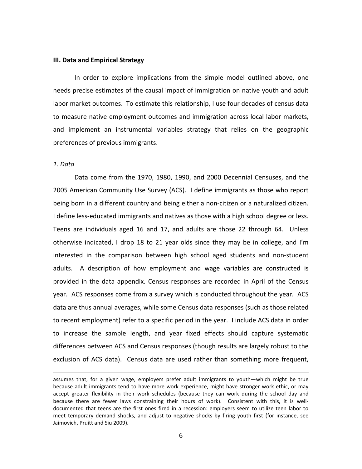#### **III. Data and Empirical Strategy**

In order to explore implications from the simple model outlined above, one needs precise estimates of the causal impact of immigration on native youth and adult labor market outcomes. To estimate this relationship, I use four decades of census data to measure native employment outcomes and immigration across local labor markets, and implement an instrumental variables strategy that relies on the geographic preferences of previous immigrants.

#### *1. Data*

 $\overline{a}$ 

Data come from the 1970, 1980, 1990, and 2000 Decennial Censuses, and the 2005 American Community Use Survey (ACS). I define immigrants as those who report being born in a different country and being either a non-citizen or a naturalized citizen. I define less-educated immigrants and natives as those with a high school degree or less. Teens are individuals aged 16 and 17, and adults are those 22 through 64. Unless otherwise indicated, I drop 18 to 21 year olds since they may be in college, and I'm interested in the comparison between high school aged students and non-student adults. A description of how employment and wage variables are constructed is provided in the data appendix. Census responses are recorded in April of the Census year. ACS responses come from a survey which is conducted throughout the year. ACS data are thus annual averages, while some Census data responses (such as those related to recent employment) refer to a specific period in the year. I include ACS data in order to increase the sample length, and year fixed effects should capture systematic differences between ACS and Census responses (though results are largely robust to the exclusion of ACS data). Census data are used rather than something more frequent,

assumes that, for a given wage, employers prefer adult immigrants to youth—which might be true because adult immigrants tend to have more work experience, might have stronger work ethic, or may accept greater flexibility in their work schedules (because they can work during the school day and because there are fewer laws constraining their hours of work). Consistent with this, it is welldocumented that teens are the first ones fired in a recession: employers seem to utilize teen labor to meet temporary demand shocks, and adjust to negative shocks by firing youth first (for instance, see Jaimovich, Pruitt and Siu 2009).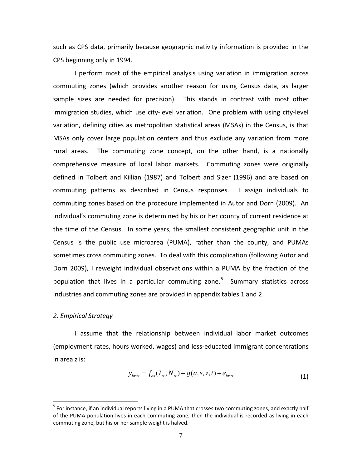such as CPS data, primarily because geographic nativity information is provided in the CPS beginning only in 1994.

I perform most of the empirical analysis using variation in immigration across commuting zones (which provides another reason for using Census data, as larger sample sizes are needed for precision). This stands in contrast with most other immigration studies, which use city-level variation. One problem with using city-level variation, defining cities as metropolitan statistical areas (MSAs) in the Census, is that MSAs only cover large population centers and thus exclude any variation from more rural areas. The commuting zone concept, on the other hand, is a nationally comprehensive measure of local labor markets. Commuting zones were originally defined in Tolbert and Killian (1987) and Tolbert and Sizer (1996) and are based on commuting patterns as described in Census responses. I assign individuals to commuting zones based on the procedure implemented in Autor and Dorn (2009). An individual's commuting zone is determined by his or her county of current residence at the time of the Census. In some years, the smallest consistent geographic unit in the Census is the public use microarea (PUMA), rather than the county, and PUMAs sometimes cross commuting zones. To deal with this complication (following Autor and Dorn 2009), I reweight individual observations within a PUMA by the fraction of the population that lives in a particular commuting zone.<sup>[5](#page-8-0)</sup> Summary statistics across industries and commuting zones are provided in appendix tables 1 and 2.

# *2. Empirical Strategy*

I assume that the relationship between individual labor market outcomes (employment rates, hours worked, wages) and less-educated immigrant concentrations in area *z* is:

$$
y_{\text{ia}zz} = f_{as}(I_z, N_z) + g(a, s, z, t) + \varepsilon_{\text{ia}zz}
$$
\n(1)

<span id="page-8-0"></span><sup>&</sup>lt;sup>5</sup> For instance, if an individual reports living in a PUMA that crosses two commuting zones, and exactly half of the PUMA population lives in each commuting zone, then the individual is recorded as living in each commuting zone, but his or her sample weight is halved.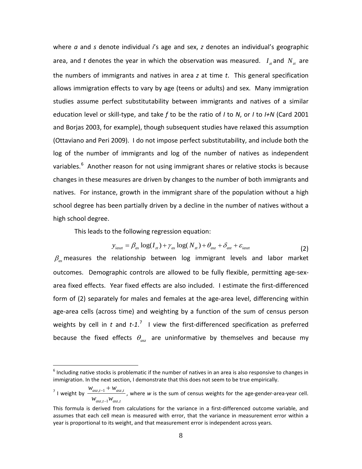where *a* and *s* denote individual *i*'s age and sex, *z* denotes an individual's geographic area, and *t* denotes the year in which the observation was measured.  $I_{\tau}$  and  $N_{\tau}$  are the numbers of immigrants and natives in area *z* at time *t*. This general specification allows immigration effects to vary by age (teens or adults) and sex. Many immigration studies assume perfect substitutability between immigrants and natives of a similar education level or skill-type, and take *f* to be the ratio of *I* to *N*, or *I* to *I+N* (Card 2001 and Borjas 2003, for example), though subsequent studies have relaxed this assumption (Ottaviano and Peri 2009). I do not impose perfect substitutability, and include both the log of the number of immigrants and log of the number of natives as independent variables.<sup>[6](#page-9-0)</sup> Another reason for not using immigrant shares or relative stocks is because changes in these measures are driven by changes to the number of both immigrants and natives. For instance, growth in the immigrant share of the population without a high school degree has been partially driven by a decline in the number of natives without a high school degree.

This leads to the following regression equation:

$$
y_{\text{iast}} = \beta_{\text{as}} \log(I_{\text{at}}) + \gamma_{\text{as}} \log(N_{\text{at}}) + \theta_{\text{asst}} + \delta_{\text{ast}} + \varepsilon_{\text{iast}}
$$
(2)

 $\beta_{\alpha}$  measures the relationship between log immigrant levels and labor market outcomes. Demographic controls are allowed to be fully flexible, permitting age-sexarea fixed effects. Year fixed effects are also included. I estimate the first-differenced form of (2) separately for males and females at the age-area level, differencing within age-area cells (across time) and weighting by a function of the sum of census person weights by cell in  $t$  and  $t$ -1.<sup>[7](#page-9-1)</sup> I view the first-differenced specification as preferred because the fixed effects  $\theta_{\scriptscriptstyle \rm ax}$  are uninformative by themselves and because my

<span id="page-9-0"></span> $6$  Including native stocks is problematic if the number of natives in an area is also responsive to changes in immigration. In the next section, I demonstrate that this does not seem to be true empirically.

<span id="page-9-1"></span><sup>&</sup>lt;sup>7</sup> I weight by  $\frac{W_{asz,t-1} + W_{asz,t}}{W_{asz,t}}$  $W_{asz,t-1}W_{asz,t}$ , where *w* is the sum of census weights for the age-gender-area-year cell.

This formula is derived from calculations for the variance in a first-differenced outcome variable, and assumes that each cell mean is measured with error, that the variance in measurement error within a year is proportional to its weight, and that measurement error is independent across years.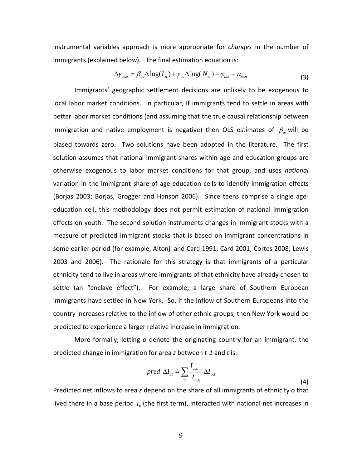instrumental variables approach is more appropriate for *changes* in the number of immigrants (explained below). The final estimation equation is:

$$
\Delta y_{aszt} = \beta_{as} \Delta \log(I_{zt}) + \gamma_{as} \Delta \log(N_{zt}) + \varphi_{ast} + \mu_{aszt}
$$
\n(3)

Immigrants' geographic settlement decisions are unlikely to be exogenous to local labor market conditions. In particular, if immigrants tend to settle in areas with better labor market conditions (and assuming that the true causal relationship between immigration and native employment is negative) then OLS estimates of β*as* will be biased towards zero. Two solutions have been adopted in the literature. The first solution assumes that national immigrant shares within age and education groups are otherwise exogenous to labor market conditions for that group, and uses *national*  variation in the immigrant share of age-education cells to identify immigration effects (Borjas 2003; Borjas, Grogger and Hanson 2006). Since teens comprise a single ageeducation cell, this methodology does not permit estimation of national immigration effects on youth. The second solution instruments changes in immigrant stocks with a measure of predicted immigrant stocks that is based on immigrant concentrations in some earlier period (for example, Altonji and Card 1991; Card 2001; Cortes 2008; Lewis 2003 and 2006). The rationale for this strategy is that immigrants of a particular ethnicity tend to live in areas where immigrants of that ethnicity have already chosen to settle (an "enclave effect"). For example, a large share of Southern European immigrants have settled in New York. So, if the inflow of Southern Europeans into the country increases relative to the inflow of other ethnic groups, then New York would be predicted to experience a larger relative increase in immigration.

More formally, letting *o* denote the originating country for an immigrant, the predicted change in immigration for area *z* between *t-1* and *t* is:

$$
pred \ \Delta I_{zt} = \sum_{o} \frac{I_{z,o,t_0}}{I_{o,t_0}} \Delta I_{o,t}
$$
\n
$$
\tag{4}
$$

Predicted net inflows to area *z* depend on the share of all immigrants of ethnicity *o* that lived there in a base period  $t_0$  (the first term), interacted with national net increases in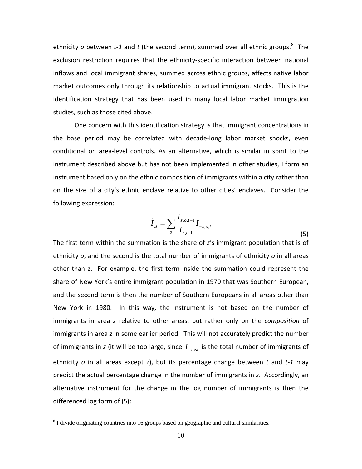ethnicity *o* between *t-1* and *t* (the second term), summed over all ethnic groups.<sup>[8](#page-11-0)</sup> The exclusion restriction requires that the ethnicity-specific interaction between national inflows and local immigrant shares, summed across ethnic groups, affects native labor market outcomes only through its relationship to actual immigrant stocks. This is the identification strategy that has been used in many local labor market immigration studies, such as those cited above.

One concern with this identification strategy is that immigrant concentrations in the base period may be correlated with decade-long labor market shocks, even conditional on area-level controls. As an alternative, which is similar in spirit to the instrument described above but has not been implemented in other studies, I form an instrument based only on the ethnic composition of immigrants within a city rather than on the size of a city's ethnic enclave relative to other cities' enclaves. Consider the following expression:

$$
\tilde{I}_{zt} = \sum_{o} \frac{I_{z,o,t-1}}{I_{z,t-1}} I_{-z,o,t}
$$
\n(5)

The first term within the summation is the share of *z*'s immigrant population that is of ethnicity *o*, and the second is the total number of immigrants of ethnicity *o* in all areas other than *z*. For example, the first term inside the summation could represent the share of New York's entire immigrant population in 1970 that was Southern European, and the second term is then the number of Southern Europeans in all areas other than New York in 1980. In this way, the instrument is not based on the number of immigrants in area *z* relative to other areas, but rather only on the *composition* of immigrants in area *z* in some earlier period. This will not accurately predict the number of immigrants in *z* (it will be too large, since  $I_{z, o, t}$  is the total number of immigrants of ethnicity *o* in all areas except *z*), but its percentage change between *t* and *t-1* may predict the actual percentage change in the number of immigrants in *z*. Accordingly, an alternative instrument for the change in the log number of immigrants is then the differenced log form of (5):

<span id="page-11-0"></span><sup>&</sup>lt;sup>8</sup> I divide originating countries into 16 groups based on geographic and cultural similarities.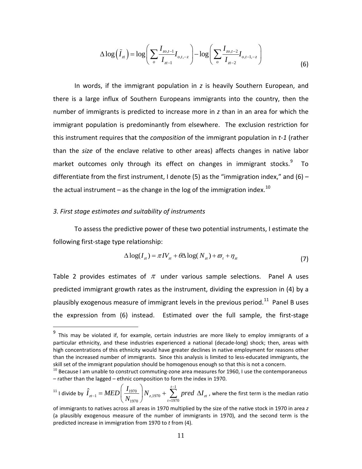$$
\Delta \log \left( \tilde{I}_{zt} \right) = \log \left( \sum_{o} \frac{I_{zo,t-1}}{I_{zt-1}} I_{o,t,-z} \right) - \log \left( \sum_{o} \frac{I_{zo,t-2}}{I_{zt-2}} I_{o,t-1,-z} \right) \tag{6}
$$

In words, if the immigrant population in *z* is heavily Southern European, and there is a large influx of Southern Europeans immigrants into the country, then the number of immigrants is predicted to increase more in *z* than in an area for which the immigrant population is predominantly from elsewhere. The exclusion restriction for this instrument requires that the *composition* of the immigrant population in *t-1* (rather than the *size* of the enclave relative to other areas) affects changes in native labor market outcomes only through its effect on changes in immigrant stocks. $9$  To differentiate from the first instrument, I denote (5) as the "immigration index," and (6) – the actual instrument – as the change in the log of the immigration index.<sup>[10](#page-12-1)</sup>

## *3. First stage estimates and suitability of instruments*

To assess the predictive power of these two potential instruments, I estimate the following first-stage type relationship:

$$
\Delta \log(I_{zt}) = \pi I V_{zt} + \theta \Delta \log(N_{zt}) + \varpi_t + \eta_{zt}
$$
\n(7)

Table 2 provides estimates of  $\pi$  under various sample selections. Panel A uses predicted immigrant growth rates as the instrument, dividing the expression in (4) by a plausibly exogenous measure of immigrant levels in the previous period.<sup>[11](#page-12-2)</sup> Panel B uses the expression from (6) instead. Estimated over the full sample, the first-stage

<span id="page-12-2"></span>
$$
^{11} \text{ I divide by } \hat{I}_{zt-1} = MED\left(\frac{I_{1970}}{N_{1970}}\right)N_{z,1970} + \sum_{t=1970}^{t-1} pred \Delta I_{zt} \text{ , where the first term is the median ratio}
$$

<span id="page-12-0"></span> $9$  This may be violated if, for example, certain industries are more likely to employ immigrants of a particular ethnicity, and these industries experienced a national (decade-long) shock; then, areas with high concentrations of this ethnicity would have greater declines in native employment for reasons other than the increased number of immigrants. Since this analysis is limited to less-educated immigrants, the skill set of the immigrant population should be homogenous enough so that this is not a concern.

<span id="page-12-1"></span> $^{10}$  Because I am unable to construct commuting-zone area measures for 1960, I use the contemporaneous – rather than the lagged – ethnic composition to form the index in 1970.

of immigrants to natives across all areas in 1970 multiplied by the size of the native stock in 1970 in area *z*  (a plausibly exogenous measure of the number of immigrants in 1970), and the second term is the predicted increase in immigration from 1970 to *t* from (4).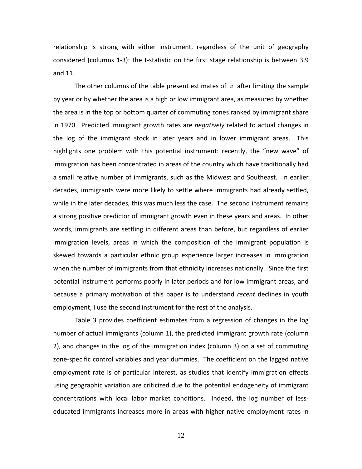relationship is strong with either instrument, regardless of the unit of geography considered (columns 1-3): the t-statistic on the first stage relationship is between 3.9 and 11.

The other columns of the table present estimates of  $\pi$  after limiting the sample by year or by whether the area is a high or low immigrant area, as measured by whether the area is in the top or bottom quarter of commuting zones ranked by immigrant share in 1970. Predicted immigrant growth rates are *negatively* related to actual changes in the log of the immigrant stock in later years and in lower immigrant areas. This highlights one problem with this potential instrument: recently, the "new wave" of immigration has been concentrated in areas of the country which have traditionally had a small relative number of immigrants, such as the Midwest and Southeast. In earlier decades, immigrants were more likely to settle where immigrants had already settled, while in the later decades, this was much less the case. The second instrument remains a strong positive predictor of immigrant growth even in these years and areas. In other words, immigrants are settling in different areas than before, but regardless of earlier immigration levels, areas in which the composition of the immigrant population is skewed towards a particular ethnic group experience larger increases in immigration when the number of immigrants from that ethnicity increases nationally. Since the first potential instrument performs poorly in later periods and for low immigrant areas, and because a primary motivation of this paper is to understand *recent* declines in youth employment, I use the second instrument for the rest of the analysis.

Table 3 provides coefficient estimates from a regression of changes in the log number of actual immigrants (column 1), the predicted immigrant growth rate (column 2), and changes in the log of the immigration index (column 3) on a set of commuting zone-specific control variables and year dummies. The coefficient on the lagged native employment rate is of particular interest, as studies that identify immigration effects using geographic variation are criticized due to the potential endogeneity of immigrant concentrations with local labor market conditions. Indeed, the log number of lesseducated immigrants increases more in areas with higher native employment rates in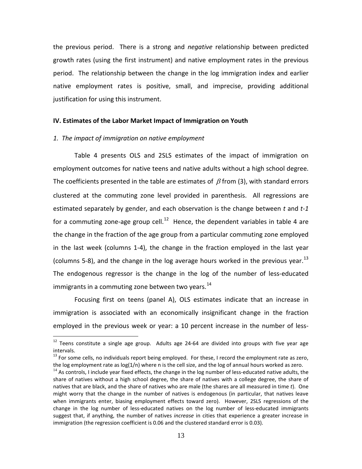the previous period. There is a strong and *negative* relationship between predicted growth rates (using the first instrument) and native employment rates in the previous period. The relationship between the change in the log immigration index and earlier native employment rates is positive, small, and imprecise, providing additional justification for using this instrument.

### **IV. Estimates of the Labor Market Impact of Immigration on Youth**

## *1. The impact of immigration on native employment*

Table 4 presents OLS and 2SLS estimates of the impact of immigration on employment outcomes for native teens and native adults without a high school degree. The coefficients presented in the table are estimates of  $\beta$  from (3), with standard errors clustered at the commuting zone level provided in parenthesis. All regressions are estimated separately by gender, and each observation is the change between *t* and *t-1*  for a commuting zone-age group cell.<sup>12</sup> Hence, the dependent variables in table 4 are the change in the fraction of the age group from a particular commuting zone employed in the last week (columns 1-4), the change in the fraction employed in the last year (columns 5-8), and the change in the log average hours worked in the previous year.<sup>[13](#page-14-1)</sup> The endogenous regressor is the change in the log of the number of less-educated immigrants in a commuting zone between two years.  $^{14}$  $^{14}$  $^{14}$ 

Focusing first on teens (panel A), OLS estimates indicate that an increase in immigration is associated with an economically insignificant change in the fraction employed in the previous week or year: a 10 percent increase in the number of less-

<span id="page-14-0"></span> $12$  Teens constitute a single age group. Adults age 24-64 are divided into groups with five year age intervals.

<span id="page-14-1"></span> $13$  For some cells, no individuals report being employed. For these, I record the employment rate as zero, the log employment rate as log(1/n) where n is the cell size, and the log of annual hours worked as zero.

<span id="page-14-2"></span> $14$  As controls, I include year fixed effects, the change in the log number of less-educated native adults, the share of natives without a high school degree, the share of natives with a college degree, the share of natives that are black, and the share of natives who are male (the shares are all measured in time *t*). One might worry that the change in the number of natives is endogenous (in particular, that natives leave when immigrants enter, biasing employment effects toward zero). However, 2SLS regressions of the change in the log number of less-educated natives on the log number of less-educated immigrants suggest that, if anything, the number of natives *increase* in cities that experience a greater increase in immigration (the regression coefficient is 0.06 and the clustered standard error is 0.03).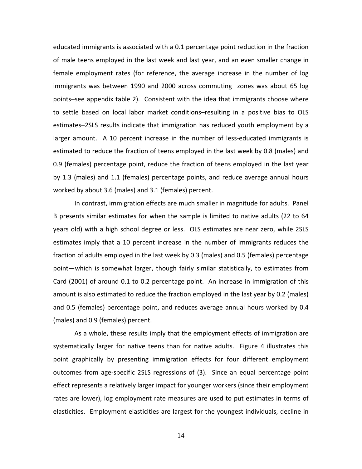educated immigrants is associated with a 0.1 percentage point reduction in the fraction of male teens employed in the last week and last year, and an even smaller change in female employment rates (for reference, the average increase in the number of log immigrants was between 1990 and 2000 across commuting zones was about 65 log points–see appendix table 2). Consistent with the idea that immigrants choose where to settle based on local labor market conditions–resulting in a positive bias to OLS estimates–2SLS results indicate that immigration has reduced youth employment by a larger amount. A 10 percent increase in the number of less-educated immigrants is estimated to reduce the fraction of teens employed in the last week by 0.8 (males) and 0.9 (females) percentage point, reduce the fraction of teens employed in the last year by 1.3 (males) and 1.1 (females) percentage points, and reduce average annual hours worked by about 3.6 (males) and 3.1 (females) percent.

In contrast, immigration effects are much smaller in magnitude for adults. Panel B presents similar estimates for when the sample is limited to native adults (22 to 64 years old) with a high school degree or less. OLS estimates are near zero, while 2SLS estimates imply that a 10 percent increase in the number of immigrants reduces the fraction of adults employed in the last week by 0.3 (males) and 0.5 (females) percentage point—which is somewhat larger, though fairly similar statistically, to estimates from Card (2001) of around 0.1 to 0.2 percentage point. An increase in immigration of this amount is also estimated to reduce the fraction employed in the last year by 0.2 (males) and 0.5 (females) percentage point, and reduces average annual hours worked by 0.4 (males) and 0.9 (females) percent.

As a whole, these results imply that the employment effects of immigration are systematically larger for native teens than for native adults. Figure 4 illustrates this point graphically by presenting immigration effects for four different employment outcomes from age-specific 2SLS regressions of (3). Since an equal percentage point effect represents a relatively larger impact for younger workers (since their employment rates are lower), log employment rate measures are used to put estimates in terms of elasticities. Employment elasticities are largest for the youngest individuals, decline in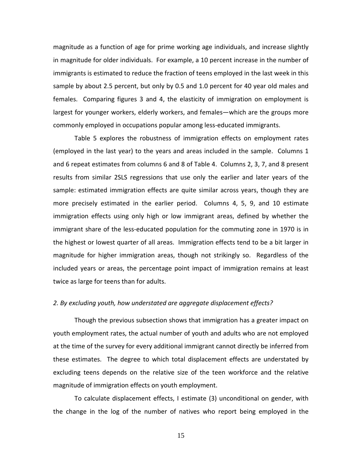magnitude as a function of age for prime working age individuals, and increase slightly in magnitude for older individuals. For example, a 10 percent increase in the number of immigrants is estimated to reduce the fraction of teens employed in the last week in this sample by about 2.5 percent, but only by 0.5 and 1.0 percent for 40 year old males and females. Comparing figures 3 and 4, the elasticity of immigration on employment is largest for younger workers, elderly workers, and females—which are the groups more commonly employed in occupations popular among less-educated immigrants.

Table 5 explores the robustness of immigration effects on employment rates (employed in the last year) to the years and areas included in the sample. Columns 1 and 6 repeat estimates from columns 6 and 8 of Table 4. Columns 2, 3, 7, and 8 present results from similar 2SLS regressions that use only the earlier and later years of the sample: estimated immigration effects are quite similar across years, though they are more precisely estimated in the earlier period. Columns 4, 5, 9, and 10 estimate immigration effects using only high or low immigrant areas, defined by whether the immigrant share of the less-educated population for the commuting zone in 1970 is in the highest or lowest quarter of all areas. Immigration effects tend to be a bit larger in magnitude for higher immigration areas, though not strikingly so. Regardless of the included years or areas, the percentage point impact of immigration remains at least twice as large for teens than for adults.

# *2. By excluding youth, how understated are aggregate displacement effects?*

Though the previous subsection shows that immigration has a greater impact on youth employment rates, the actual number of youth and adults who are not employed at the time of the survey for every additional immigrant cannot directly be inferred from these estimates. The degree to which total displacement effects are understated by excluding teens depends on the relative size of the teen workforce and the relative magnitude of immigration effects on youth employment.

To calculate displacement effects, I estimate (3) unconditional on gender, with the change in the log of the number of natives who report being employed in the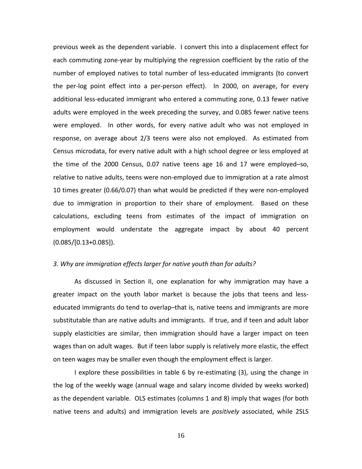previous week as the dependent variable. I convert this into a displacement effect for each commuting zone-year by multiplying the regression coefficient by the ratio of the number of employed natives to total number of less-educated immigrants (to convert the per-log point effect into a per-person effect). In 2000, on average, for every additional less-educated immigrant who entered a commuting zone, 0.13 fewer native adults were employed in the week preceding the survey, and 0.085 fewer native teens were employed. In other words, for every native adult who was not employed in response, on average about 2/3 teens were also not employed. As estimated from Census microdata, for every native adult with a high school degree or less employed at the time of the 2000 Census, 0.07 native teens age 16 and 17 were employed–so, relative to native adults, teens were non-employed due to immigration at a rate almost 10 times greater (0.66/0.07) than what would be predicted if they were non-employed due to immigration in proportion to their share of employment. Based on these calculations, excluding teens from estimates of the impact of immigration on employment would understate the aggregate impact by about 40 percent  $(0.085/[0.13+0.085]).$ 

# *3. Why are immigration effects larger for native youth than for adults?*

As discussed in Section II, one explanation for why immigration may have a greater impact on the youth labor market is because the jobs that teens and lesseducated immigrants do tend to overlap–that is, native teens and immigrants are more substitutable than are native adults and immigrants. If true, and if teen and adult labor supply elasticities are similar, then immigration should have a larger impact on teen wages than on adult wages. But if teen labor supply is relatively more elastic, the effect on teen wages may be smaller even though the employment effect is larger.

I explore these possibilities in table 6 by re-estimating (3), using the change in the log of the weekly wage (annual wage and salary income divided by weeks worked) as the dependent variable. OLS estimates (columns 1 and 8) imply that wages (for both native teens and adults) and immigration levels are *positively* associated, while 2SLS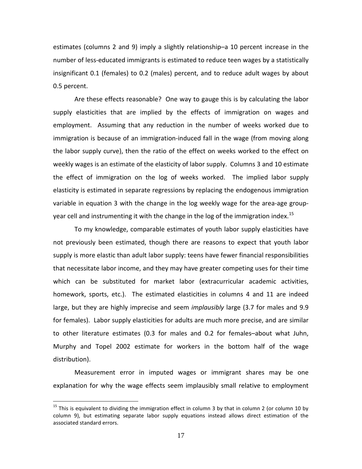estimates (columns 2 and 9) imply a slightly relationship–a 10 percent increase in the number of less-educated immigrants is estimated to reduce teen wages by a statistically insignificant 0.1 (females) to 0.2 (males) percent, and to reduce adult wages by about 0.5 percent.

Are these effects reasonable? One way to gauge this is by calculating the labor supply elasticities that are implied by the effects of immigration on wages and employment. Assuming that any reduction in the number of weeks worked due to immigration is because of an immigration-induced fall in the wage (from moving along the labor supply curve), then the ratio of the effect on weeks worked to the effect on weekly wages is an estimate of the elasticity of labor supply. Columns 3 and 10 estimate the effect of immigration on the log of weeks worked. The implied labor supply elasticity is estimated in separate regressions by replacing the endogenous immigration variable in equation 3 with the change in the log weekly wage for the area-age group-year cell and instrumenting it with the change in the log of the immigration index.<sup>[15](#page-18-0)</sup>

To my knowledge, comparable estimates of youth labor supply elasticities have not previously been estimated, though there are reasons to expect that youth labor supply is more elastic than adult labor supply: teens have fewer financial responsibilities that necessitate labor income, and they may have greater competing uses for their time which can be substituted for market labor (extracurricular academic activities, homework, sports, etc.). The estimated elasticities in columns 4 and 11 are indeed large, but they are highly imprecise and seem *implausibly* large (3.7 for males and 9.9 for females). Labor supply elasticities for adults are much more precise, and are similar to other literature estimates (0.3 for males and 0.2 for females–about what Juhn, Murphy and Topel 2002 estimate for workers in the bottom half of the wage distribution).

Measurement error in imputed wages or immigrant shares may be one explanation for why the wage effects seem implausibly small relative to employment

<span id="page-18-0"></span> $15$  This is equivalent to dividing the immigration effect in column 3 by that in column 2 (or column 10 by column 9), but estimating separate labor supply equations instead allows direct estimation of the associated standard errors.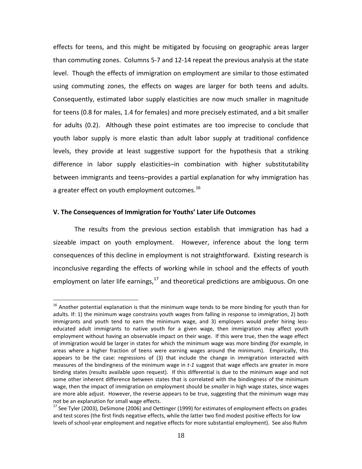effects for teens, and this might be mitigated by focusing on geographic areas larger than commuting zones. Columns 5-7 and 12-14 repeat the previous analysis at the state level. Though the effects of immigration on employment are similar to those estimated using commuting zones, the effects on wages are larger for both teens and adults. Consequently, estimated labor supply elasticities are now much smaller in magnitude for teens (0.8 for males, 1.4 for females) and more precisely estimated, and a bit smaller for adults (0.2). Although these point estimates are too imprecise to conclude that youth labor supply is more elastic than adult labor supply at traditional confidence levels, they provide at least suggestive support for the hypothesis that a striking difference in labor supply elasticities–in combination with higher substitutability between immigrants and teens–provides a partial explanation for why immigration has a greater effect on youth employment outcomes.  $^{16}$  $^{16}$  $^{16}$ 

## **V. The Consequences of Immigration for Youths' Later Life Outcomes**

The results from the previous section establish that immigration has had a sizeable impact on youth employment. However, inference about the long term consequences of this decline in employment is not straightforward. Existing research is inconclusive regarding the effects of working while in school and the effects of youth employment on later life earnings,<sup>[17](#page-19-1)</sup> and theoretical predictions are ambiguous. On one

<span id="page-19-0"></span> $16$  Another potential explanation is that the minimum wage tends to be more binding for youth than for adults. If: 1) the minimum wage constrains youth wages from falling in response to immigration, 2) both immigrants and youth tend to earn the minimum wage, and 3) employers would prefer hiring lesseducated adult immigrants to native youth for a given wage, then immigration may affect youth employment without having an observable impact on their wage. If this were true, then the wage effect of immigration would be larger in states for which the minimum wage was more binding (for example, in areas where a higher fraction of teens were earning wages around the minimum). Empirically, this appears to be the case: regressions of (3) that include the change in immigration interacted with measures of the bindingness of the minimum wage in *t-1* suggest that wage effects are greater in more binding states (results available upon request). If this differential is due to the minimum wage and not some other inherent difference between states that is correlated with the bindingness of the minimum wage, then the impact of immigration on employment should be *smaller* in high wage states, since wages are more able adjust. However, the reverse appears to be true, suggesting that the minimum wage may not be an explanation for small wage effects.

<span id="page-19-1"></span><sup>&</sup>lt;sup>17</sup> See Tyler (2003), DeSimone (2006) and Oettinger (1999) for estimates of employment effects on grades and test scores (the first finds negative effects, while the latter two find modest positive effects for low levels of school-year employment and negative effects for more substantial employment). See also Ruhm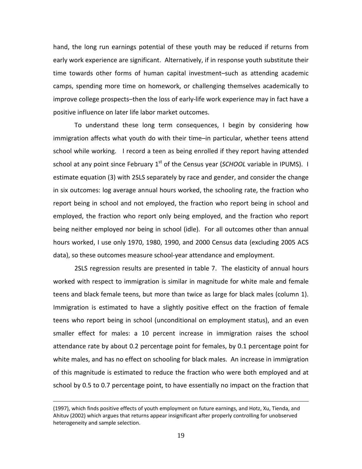hand, the long run earnings potential of these youth may be reduced if returns from early work experience are significant. Alternatively, if in response youth substitute their time towards other forms of human capital investment–such as attending academic camps, spending more time on homework, or challenging themselves academically to improve college prospects–then the loss of early-life work experience may in fact have a positive influence on later life labor market outcomes.

To understand these long term consequences, I begin by considering how immigration affects what youth do with their time–in particular, whether teens attend school while working. I record a teen as being enrolled if they report having attended school at any point since February 1<sup>st</sup> of the Census year (*SCHOOL* variable in IPUMS). I estimate equation (3) with 2SLS separately by race and gender, and consider the change in six outcomes: log average annual hours worked, the schooling rate, the fraction who report being in school and not employed, the fraction who report being in school and employed, the fraction who report only being employed, and the fraction who report being neither employed nor being in school (idle). For all outcomes other than annual hours worked, I use only 1970, 1980, 1990, and 2000 Census data (excluding 2005 ACS data), so these outcomes measure school-year attendance and employment.

2SLS regression results are presented in table 7. The elasticity of annual hours worked with respect to immigration is similar in magnitude for white male and female teens and black female teens, but more than twice as large for black males (column 1). Immigration is estimated to have a slightly positive effect on the fraction of female teens who report being in school (unconditional on employment status), and an even smaller effect for males: a 10 percent increase in immigration raises the school attendance rate by about 0.2 percentage point for females, by 0.1 percentage point for white males, and has no effect on schooling for black males. An increase in immigration of this magnitude is estimated to reduce the fraction who were both employed and at school by 0.5 to 0.7 percentage point, to have essentially no impact on the fraction that

 $\overline{a}$ 

<sup>(1997),</sup> which finds positive effects of youth employment on future earnings, and Hotz, Xu, Tienda, and Ahituv (2002) which argues that returns appear insignificant after properly controlling for unobserved heterogeneity and sample selection.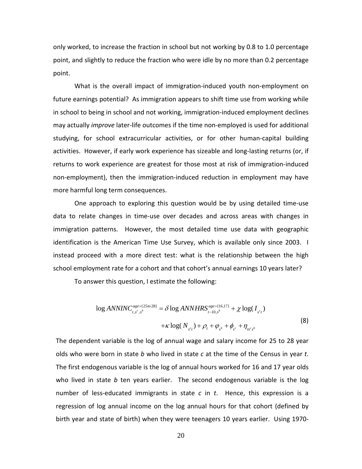only worked, to increase the fraction in school but not working by 0.8 to 1.0 percentage point, and slightly to reduce the fraction who were idle by no more than 0.2 percentage point.

What is the overall impact of immigration-induced youth non-employment on future earnings potential? As immigration appears to shift time use from working while in school to being in school and not working, immigration-induced employment declines may actually *improve* later-life outcomes if the time non-employed is used for additional studying, for school extracurricular activities, or for other human-capital building activities. However, if early work experience has sizeable and long-lasting returns (or, if returns to work experience are greatest for those most at risk of immigration-induced non-employment), then the immigration-induced reduction in employment may have more harmful long term consequences.

One approach to exploring this question would be by using detailed time-use data to relate changes in time-use over decades and across areas with changes in immigration patterns. However, the most detailed time use data with geographic identification is the American Time Use Survey, which is available only since 2003. I instead proceed with a more direct test: what is the relationship between the high school employment rate for a cohort and that cohort's annual earnings 10 years later?

To answer this question, I estimate the following:

$$
\log ANNINC_{t,s^c,s^b}^{age= \{25\text{ to }28\}} = \delta \log ANNHRS_{t-10,s^b}^{age= \{16,17\}} + \chi \log(I_{s^c t}) + \kappa \log(N_{s^c t}) + \rho_t + \varphi_{s^b} + \varphi_{s^c} + \eta_{s^c s^b}
$$
\n(8)

The dependent variable is the log of annual wage and salary income for 25 to 28 year olds who were born in state *b* who lived in state *c* at the time of the Census in year *t*. The first endogenous variable is the log of annual hours worked for 16 and 17 year olds who lived in state *b* ten years earlier. The second endogenous variable is the log number of less-educated immigrants in state *c* in *t*. Hence, this expression is a regression of log annual income on the log annual hours for that cohort (defined by birth year and state of birth) when they were teenagers 10 years earlier. Using 1970-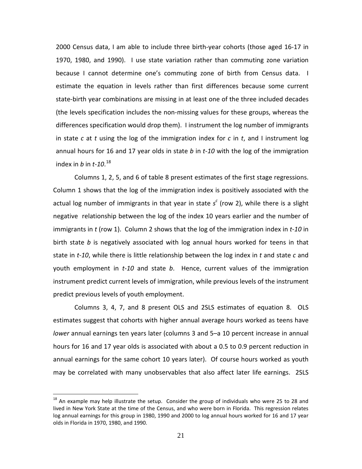2000 Census data, I am able to include three birth-year cohorts (those aged 16-17 in 1970, 1980, and 1990). I use state variation rather than commuting zone variation because I cannot determine one's commuting zone of birth from Census data. I estimate the equation in levels rather than first differences because some current state-birth year combinations are missing in at least one of the three included decades (the levels specification includes the non-missing values for these groups, whereas the differences specification would drop them). I instrument the log number of immigrants in state *c* at *t* using the log of the immigration index for *c* in *t*, and I instrument log annual hours for 16 and 17 year olds in state *b* in *t-10* with the log of the immigration index in *b* in *t-10*. [18](#page-22-0)

Columns 1, 2, 5, and 6 of table 8 present estimates of the first stage regressions. Column 1 shows that the log of the immigration index is positively associated with the actual log number of immigrants in that year in state *s <sup>c</sup>* (row 2), while there is a slight negative relationship between the log of the index 10 years earlier and the number of immigrants in *t* (row 1). Column 2 shows that the log of the immigration index in *t-10* in birth state *b* is negatively associated with log annual hours worked for teens in that state in *t-10*, while there is little relationship between the log index in *t* and state *c* and youth employment in *t-10* and state *b*. Hence, current values of the immigration instrument predict current levels of immigration, while previous levels of the instrument predict previous levels of youth employment.

Columns 3, 4, 7, and 8 present OLS and 2SLS estimates of equation 8. OLS estimates suggest that cohorts with higher annual average hours worked as teens have *lower* annual earnings ten years later (columns 3 and 5–a 10 percent increase in annual hours for 16 and 17 year olds is associated with about a 0.5 to 0.9 percent reduction in annual earnings for the same cohort 10 years later). Of course hours worked as youth may be correlated with many unobservables that also affect later life earnings. 2SLS

<span id="page-22-0"></span> $18$  An example may help illustrate the setup. Consider the group of individuals who were 25 to 28 and lived in New York State at the time of the Census, and who were born in Florida. This regression relates log annual earnings for this group in 1980, 1990 and 2000 to log annual hours worked for 16 and 17 year olds in Florida in 1970, 1980, and 1990.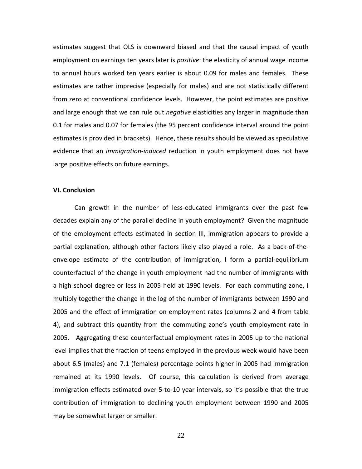estimates suggest that OLS is downward biased and that the causal impact of youth employment on earnings ten years later is *positive*: the elasticity of annual wage income to annual hours worked ten years earlier is about 0.09 for males and females. These estimates are rather imprecise (especially for males) and are not statistically different from zero at conventional confidence levels. However, the point estimates are positive and large enough that we can rule out *negative* elasticities any larger in magnitude than 0.1 for males and 0.07 for females (the 95 percent confidence interval around the point estimates is provided in brackets). Hence, these results should be viewed as speculative evidence that an *immigration-induced* reduction in youth employment does not have large positive effects on future earnings.

## **VI. Conclusion**

Can growth in the number of less‐educated immigrants over the past few decades explain any of the parallel decline in youth employment? Given the magnitude of the employment effects estimated in section III, immigration appears to provide a partial explanation, although other factors likely also played a role. As a back-of-theenvelope estimate of the contribution of immigration, I form a partial-equilibrium counterfactual of the change in youth employment had the number of immigrants with a high school degree or less in 2005 held at 1990 levels. For each commuting zone, I multiply together the change in the log of the number of immigrants between 1990 and 2005 and the effect of immigration on employment rates (columns 2 and 4 from table 4), and subtract this quantity from the commuting zone's youth employment rate in 2005. Aggregating these counterfactual employment rates in 2005 up to the national level implies that the fraction of teens employed in the previous week would have been about 6.5 (males) and 7.1 (females) percentage points higher in 2005 had immigration remained at its 1990 levels. Of course, this calculation is derived from average immigration effects estimated over 5-to-10 year intervals, so it's possible that the true contribution of immigration to declining youth employment between 1990 and 2005 may be somewhat larger or smaller.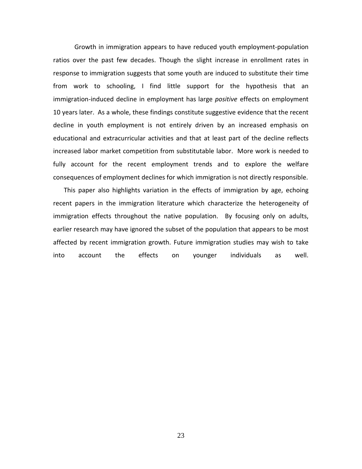Growth in immigration appears to have reduced youth employment-population ratios over the past few decades. Though the slight increase in enrollment rates in response to immigration suggests that some youth are induced to substitute their time from work to schooling, I find little support for the hypothesis that an immigration‐induced decline in employment has large *positive* effects on employment 10 years later. As a whole, these findings constitute suggestive evidence that the recent decline in youth employment is not entirely driven by an increased emphasis on educational and extracurricular activities and that at least part of the decline reflects increased labor market competition from substitutable labor. More work is needed to fully account for the recent employment trends and to explore the welfare consequences of employment declines for which immigration is not directly responsible.

This paper also highlights variation in the effects of immigration by age, echoing recent papers in the immigration literature which characterize the heterogeneity of immigration effects throughout the native population. By focusing only on adults, earlier research may have ignored the subset of the population that appears to be most affected by recent immigration growth. Future immigration studies may wish to take into account the effects on younger individuals as well.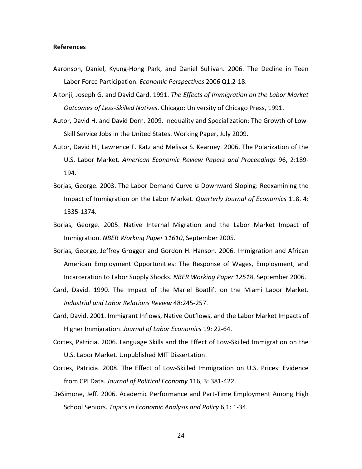#### **References**

- Aaronson, Daniel, Kyung-Hong Park, and Daniel Sullivan. 2006. The Decline in Teen Labor Force Participation. *Economic Perspectives* 2006 Q1:2-18.
- Altonji, Joseph G. and David Card. 1991. *The Effects of Immigration on the Labor Market Outcomes of Less-Skilled Natives*. Chicago: University of Chicago Press, 1991.
- Autor, David H. and David Dorn. 2009. Inequality and Specialization: The Growth of Low-Skill Service Jobs in the United States. Working Paper, July 2009.
- Autor, David H., Lawrence F. Katz and Melissa S. Kearney. 2006. The Polarization of the U.S. Labor Market. *American Economic Review Papers and Proceedings* 96, 2:189-194.
- Borjas, George. 2003. The Labor Demand Curve *is* Downward Sloping: Reexamining the Impact of Immigration on the Labor Market. *Quarterly Journal of Economics* 118, 4: 1335-1374.
- Borjas, George. 2005. Native Internal Migration and the Labor Market Impact of Immigration. *NBER Working Paper 11610*, September 2005.
- Borjas, George, Jeffrey Grogger and Gordon H. Hanson. 2006. Immigration and African American Employment Opportunities: The Response of Wages, Employment, and Incarceration to Labor Supply Shocks. *NBER Working Paper 12518*, September 2006.
- Card, David. 1990. The Impact of the Mariel Boatlift on the Miami Labor Market. *Industrial and Labor Relations Review* 48:245-257.
- Card, David. 2001. Immigrant Inflows, Native Outflows, and the Labor Market Impacts of Higher Immigration. *Journal of Labor Economics* 19: 22-64.
- Cortes, Patricia. 2006. Language Skills and the Effect of Low-Skilled Immigration on the U.S. Labor Market. Unpublished MIT Dissertation.
- Cortes, Patricia. 2008. The Effect of Low-Skilled Immigration on U.S. Prices: Evidence from CPI Data. *Journal of Political Economy* 116, 3: 381-422.
- DeSimone, Jeff. 2006. Academic Performance and Part-Time Employment Among High School Seniors. *Topics in Economic Analysis and Policy* 6,1: 1-34.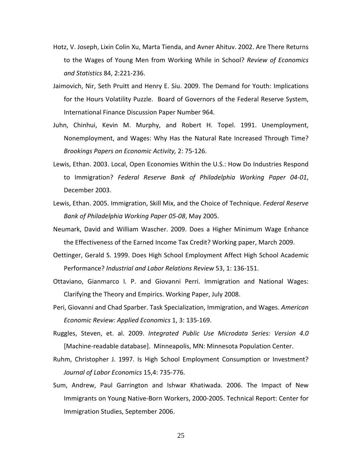- Hotz, V. Joseph, Lixin Colin Xu, Marta Tienda, and Avner Ahituv. 2002. Are There Returns to the Wages of Young Men from Working While in School? *Review of Economics and Statistics* 84, 2:221-236.
- Jaimovich, Nir, Seth Pruitt and Henry E. Siu. 2009. The Demand for Youth: Implications for the Hours Volatility Puzzle. Board of Governors of the Federal Reserve System, International Finance Discussion Paper Number 964.
- Juhn, Chinhui, Kevin M. Murphy, and Robert H. Topel. 1991. Unemployment, Nonemployment, and Wages: Why Has the Natural Rate Increased Through Time? *Brookings Papers on Economic Activity,* 2: 75-126.
- Lewis, Ethan. 2003. Local, Open Economies Within the U.S.: How Do Industries Respond to Immigration? *Federal Reserve Bank of Philadelphia Working Paper 04-01*, December 2003.
- Lewis, Ethan. 2005. Immigration, Skill Mix, and the Choice of Technique. *Federal Reserve Bank of Philadelphia Working Paper 05-08*, May 2005.
- Neumark, David and William Wascher. 2009. Does a Higher Minimum Wage Enhance the Effectiveness of the Earned Income Tax Credit? Working paper, March 2009.
- Oettinger, Gerald S. 1999. Does High School Employment Affect High School Academic Performance? *Industrial and Labor Relations Review* 53, 1: 136-151.
- Ottaviano, Gianmarco I. P. and Giovanni Perri. Immigration and National Wages: Clarifying the Theory and Empirics. Working Paper, July 2008.
- Peri, Giovanni and Chad Sparber. Task Specialization, Immigration, and Wages. *American Economic Review: Applied Economics* 1, 3: 135-169.
- Ruggles, Steven, et. al. 2009. *Integrated Public Use Microdata Series: Version 4.0* [Machine-readable database]. Minneapolis, MN: Minnesota Population Center.
- Ruhm, Christopher J. 1997. Is High School Employment Consumption or Investment? *Journal of Labor Economics* 15,4: 735-776.
- Sum, Andrew, Paul Garrington and Ishwar Khatiwada. 2006. The Impact of New Immigrants on Young Native-Born Workers, 2000-2005. Technical Report: Center for Immigration Studies, September 2006.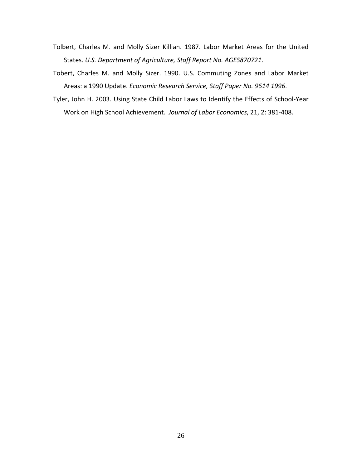- Tolbert, Charles M. and Molly Sizer Killian. 1987. Labor Market Areas for the United States. *U.S. Department of Agriculture, Staff Report No. AGES870721*.
- Tobert, Charles M. and Molly Sizer. 1990. U.S. Commuting Zones and Labor Market Areas: a 1990 Update. *Economic Research Service, Staff Paper No. 9614 1996*.
- Tyler, John H. 2003. Using State Child Labor Laws to Identify the Effects of School-Year Work on High School Achievement. *Journal of Labor Economics*, 21, 2: 381-408.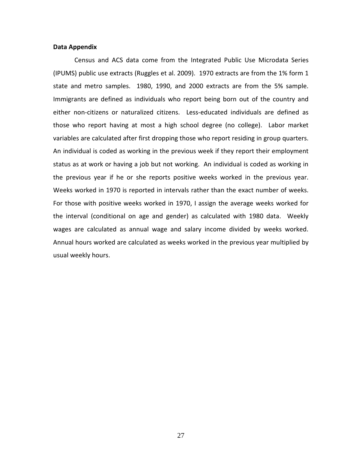#### **Data Appendix**

Census and ACS data come from the Integrated Public Use Microdata Series (IPUMS) public use extracts (Ruggles et al. 2009). 1970 extracts are from the 1% form 1 state and metro samples. 1980, 1990, and 2000 extracts are from the 5% sample. Immigrants are defined as individuals who report being born out of the country and either non-citizens or naturalized citizens. Less-educated individuals are defined as those who report having at most a high school degree (no college). Labor market variables are calculated after first dropping those who report residing in group quarters. An individual is coded as working in the previous week if they report their employment status as at work or having a job but not working. An individual is coded as working in the previous year if he or she reports positive weeks worked in the previous year. Weeks worked in 1970 is reported in intervals rather than the exact number of weeks. For those with positive weeks worked in 1970, I assign the average weeks worked for the interval (conditional on age and gender) as calculated with 1980 data. Weekly wages are calculated as annual wage and salary income divided by weeks worked. Annual hours worked are calculated as weeks worked in the previous year multiplied by usual weekly hours.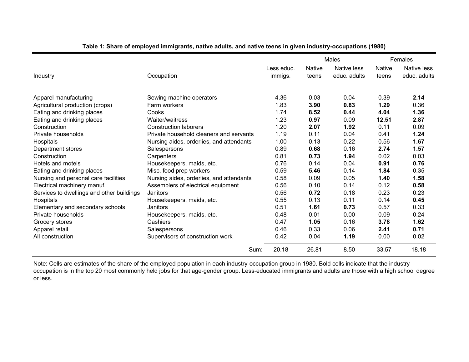|                                           |                                          |            |               | Males        | Females       |              |
|-------------------------------------------|------------------------------------------|------------|---------------|--------------|---------------|--------------|
|                                           |                                          | Less educ. | <b>Native</b> | Native less  | <b>Native</b> | Native less  |
| Industry                                  | Occupation                               | immigs.    | teens         | educ. adults | teens         | educ. adults |
|                                           |                                          |            |               |              |               |              |
| Apparel manufacturing                     | Sewing machine operators                 | 4.36       | 0.03          | 0.04         | 0.39          | 2.14         |
| Agricultural production (crops)           | Farm workers                             | 1.83       | 3.90          | 0.83         | 1.29          | 0.36         |
| Eating and drinking places                | Cooks                                    | 1.74       | 8.52          | 0.44         | 4.04          | 1.36         |
| Eating and drinking places                | Waiter/waitress                          | 1.23       | 0.97          | 0.09         | 12.51         | 2.87         |
| Construction                              | <b>Construction laborers</b>             | 1.20       | 2.07          | 1.92         | 0.11          | 0.09         |
| Private households                        | Private household cleaners and servants  | 1.19       | 0.11          | 0.04         | 0.41          | 1.24         |
| Hospitals                                 | Nursing aides, orderlies, and attendants | 1.00       | 0.13          | 0.22         | 0.56          | 1.67         |
| Department stores                         | Salespersons                             | 0.89       | 0.68          | 0.16         | 2.74          | 1.57         |
| Construction                              | Carpenters                               | 0.81       | 0.73          | 1.94         | 0.02          | 0.03         |
| Hotels and motels                         | Housekeepers, maids, etc.                | 0.76       | 0.14          | 0.04         | 0.91          | 0.76         |
| Eating and drinking places                | Misc. food prep workers                  | 0.59       | 5.46          | 0.14         | 1.84          | 0.35         |
| Nursing and personal care facilities      | Nursing aides, orderlies, and attendants | 0.58       | 0.09          | 0.05         | 1.40          | 1.58         |
| Electrical machinery manuf.               | Assemblers of electrical equipment       | 0.56       | 0.10          | 0.14         | 0.12          | 0.58         |
| Services to dwellings and other buildings | Janitors                                 | 0.56       | 0.72          | 0.18         | 0.23          | 0.23         |
| Hospitals                                 | Housekeepers, maids, etc.                | 0.55       | 0.13          | 0.11         | 0.14          | 0.45         |
| Elementary and secondary schools          | Janitors                                 | 0.51       | 1.61          | 0.73         | 0.57          | 0.33         |
| Private households                        | Housekeepers, maids, etc.                | 0.48       | 0.01          | 0.00         | 0.09          | 0.24         |
| Grocery stores                            | Cashiers                                 | 0.47       | 1.05          | 0.16         | 3.78          | 1.62         |
| Apparel retail                            | Salespersons                             | 0.46       | 0.33          | 0.06         | 2.41          | 0.71         |
| All construction                          | Supervisors of construction work         | 0.42       | 0.04          | 1.19         | 0.00          | 0.02         |
|                                           | Sum:                                     | 20.18      | 26.81         | 8.50         | 33.57         | 18.18        |

**Table 1: Share of employed immigrants, native adults, and native teens in given industry-occupations (1980)**

Note: Cells are estimates of the share of the employed population in each industry-occupation group in 1980. Bold cells indicate that the industryoccupation is in the top 20 most commonly held jobs for that age-gender group. Less-educated immigrants and adults are those with a high school degree or less.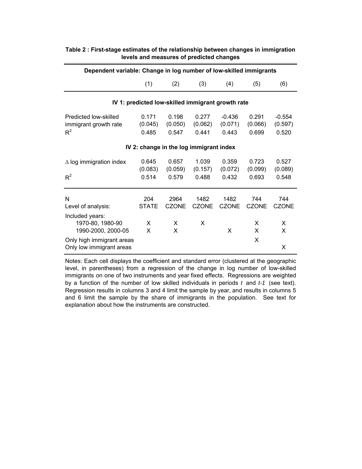| Dependent variable: Change in log number of low-skilled immigrants |                           |                                                   |                           |                              |                           |                              |  |  |  |  |  |
|--------------------------------------------------------------------|---------------------------|---------------------------------------------------|---------------------------|------------------------------|---------------------------|------------------------------|--|--|--|--|--|
|                                                                    | (1)                       | (2)                                               | (3)                       | (4)                          | (5)                       | (6)                          |  |  |  |  |  |
|                                                                    |                           | IV 1: predicted low-skilled immigrant growth rate |                           |                              |                           |                              |  |  |  |  |  |
| Predicted low-skilled<br>immigrant growth rate<br>$R^2$            | 0.171<br>(0.045)<br>0.485 | 0.198<br>(0.050)<br>0.547                         | 0.277<br>(0.062)<br>0.441 | $-0.436$<br>(0.071)<br>0.443 | 0.291<br>(0.066)<br>0.699 | $-0.554$<br>(0.597)<br>0.520 |  |  |  |  |  |
| IV 2: change in the log immigrant index                            |                           |                                                   |                           |                              |                           |                              |  |  |  |  |  |
| $\Delta$ log immigration index<br>$R^2$                            | 0.645<br>(0.083)<br>0.514 | 0.657<br>(0.059)<br>0.579                         | 1.039<br>(0.157)<br>0.488 | 0.359<br>(0.072)<br>0.432    | 0.723<br>(0.099)<br>0.693 | 0.527<br>(0.089)<br>0.548    |  |  |  |  |  |
| N<br>Level of analysis:                                            | 204<br><b>STATE</b>       | 2964<br><b>CZONE</b>                              | 1482<br><b>CZONE</b>      | 1482<br><b>CZONE</b>         | 744<br><b>CZONE</b>       | 744<br><b>CZONE</b>          |  |  |  |  |  |
| Included years:<br>1970-80, 1980-90<br>1990-2000, 2000-05          | X<br>X                    | X<br>X                                            | X                         | X                            | X<br>X                    | X<br>X                       |  |  |  |  |  |
| Only high immigrant areas<br>Only low immigrant areas              |                           |                                                   |                           |                              | X                         | X                            |  |  |  |  |  |

# **Table 2 : First-stage estimates of the relationship between changes in immigration levels and measures of predicted changes**

Notes: Each cell displays the coefficient and standard error (clustered at the geographic level, in parentheses) from a regression of the change in log number of low-skilled immigrants on one of two instruments and year fixed effects. Regressions are weighted by a function of the number of low skilled individuals in periods *t* and *t-1* (see text). Regression results in columns 3 and 4 limit the sample by year, and results in columns 5 and 6 limit the sample by the share of immigrants in the population. See text for explanation about how the instruments are constructed.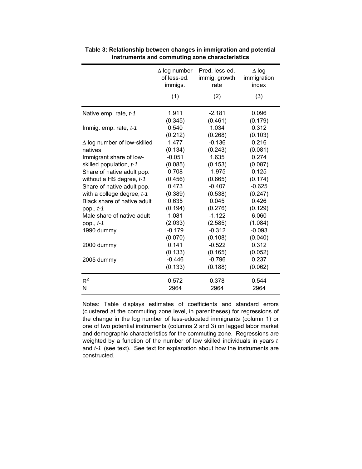|                                                        | $\Delta$ log number<br>of less-ed.<br>immigs. | Pred. less-ed.<br>immig. growth<br>rate | $\Delta$ log<br>immigration<br>index |
|--------------------------------------------------------|-----------------------------------------------|-----------------------------------------|--------------------------------------|
|                                                        | (1)                                           | (2)                                     | (3)                                  |
| Native emp. rate, t-1                                  | 1.911<br>(0.345)                              | $-2.181$<br>(0.461)                     | 0.096<br>(0.179)                     |
| Immig. emp. rate, $t-1$                                | 0.540<br>(0.212)                              | 1.034<br>(0.268)                        | 0.312<br>(0.103)                     |
| $\Delta$ log number of low-skilled                     | 1.477                                         | $-0.136$                                | 0.216                                |
| natives                                                | (0.134)                                       | (0.243)                                 | (0.081)                              |
| Immigrant share of low-                                | $-0.051$                                      | 1.635                                   | 0.274                                |
| skilled population, t-1                                | (0.085)<br>0.708                              | (0.153)<br>$-1.975$                     | (0.087)<br>0.125                     |
| Share of native adult pop.<br>without a HS degree, t-1 | (0.456)                                       | (0.665)                                 | (0.174)                              |
| Share of native adult pop.                             | 0.473                                         | $-0.407$                                | $-0.625$                             |
| with a college degree, $t-1$                           | (0.389)                                       | (0.538)                                 | (0.247)                              |
| Black share of native adult                            | 0.635                                         | 0.045                                   | 0.426                                |
| pop., t-1                                              | (0.194)                                       | (0.276)                                 | (0.129)                              |
| Male share of native adult                             | 1.081                                         | $-1.122$                                | 6.060                                |
| pop., t-1                                              | (2.033)                                       | (2.585)                                 | (1.084)                              |
| 1990 dummy                                             | $-0.179$                                      | $-0.312$                                | $-0.093$                             |
|                                                        | (0.070)                                       | (0.108)                                 | (0.040)                              |
| 2000 dummy                                             | 0.141                                         | $-0.522$                                | 0.312                                |
|                                                        | (0.133)                                       | (0.165)                                 | (0.052)                              |
| 2005 dummy                                             | $-0.446$                                      | $-0.796$                                | 0.237                                |
|                                                        | (0.133)                                       | (0.188)                                 | (0.062)                              |
| $R^2$                                                  | 0.572                                         | 0.378                                   | 0.544                                |
| N                                                      | 2964                                          | 2964                                    | 2964                                 |

**Table 3: Relationship between changes in immigration and potential instruments and commuting zone characteristics**

Notes: Table displays estimates of coefficients and standard errors (clustered at the commuting zone level, in parentheses) for regressions of the change in the log number of less-educated immigrants (column 1) or one of two potential instruments (columns 2 and 3) on lagged labor market and demographic characteristics for the commuting zone. Regressions are weighted by a function of the number of low skilled individuals in years *t*  and *t-1* (see text). See text for explanation about how the instruments are constructed.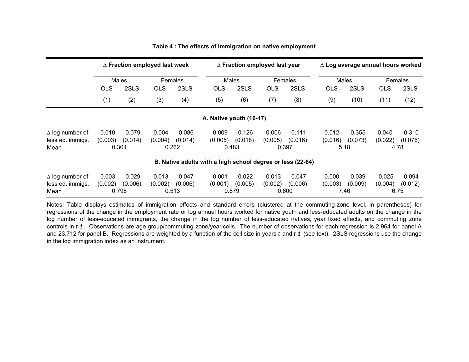|                                                            | $\Delta$ Fraction employed last week |                  |                  | $\Delta$ Fraction employed last year |            |                  | $\Delta$ Log average annual hours worked |                  |            |                 |                 |          |  |
|------------------------------------------------------------|--------------------------------------|------------------|------------------|--------------------------------------|------------|------------------|------------------------------------------|------------------|------------|-----------------|-----------------|----------|--|
|                                                            |                                      | Males            | <b>Females</b>   |                                      |            | Males            |                                          | <b>Females</b>   |            | Males           |                 | Females  |  |
|                                                            | <b>OLS</b>                           | 2SLS             | OLS              | 2SLS                                 | <b>OLS</b> | 2SLS             | <b>OLS</b>                               | 2SLS             | <b>OLS</b> | 2SLS            | <b>OLS</b>      | 2SLS     |  |
|                                                            | (1)                                  | (2)              | (3)              | (4)                                  | (5)        | (6)              | (7)                                      | (8)              | (9)        | (10)            | (11)            | (12)     |  |
| A. Native youth (16-17)                                    |                                      |                  |                  |                                      |            |                  |                                          |                  |            |                 |                 |          |  |
| $\Delta$ log number of                                     | $-0.010$                             | $-0.079$         | $-0.004$         | $-0.086$                             | $-0.009$   | $-0.126$         | $-0.006$                                 | $-0.111$         | 0.012      | $-0.355$        | 0.040           | $-0.310$ |  |
| less ed. immigs.<br>Mean                                   | (0.003)<br>0.301                     | (0.014)          | (0.004)          | (0.014)<br>0.262                     | (0.005)    | (0.018)<br>0.483 | (0.005)<br>0.397                         | (0.016)          | (0.016)    | (0.073)<br>5.18 | (0.022)<br>4.78 | (0.076)  |  |
| B. Native adults with a high school degree or less (22-64) |                                      |                  |                  |                                      |            |                  |                                          |                  |            |                 |                 |          |  |
| $\Delta$ log number of                                     | $-0.003$                             | $-0.029$         | $-0.013$         | $-0.047$                             | $-0.001$   | $-0.022$         | $-0.013$                                 | $-0.047$         | 0.000      | $-0.039$        | $-0.025$        | $-0.094$ |  |
| less ed. immigs.<br>Mean                                   | (0.002)                              | (0.006)<br>0.798 | (0.002)<br>0.513 | (0.006)                              | (0.001)    | (0.005)<br>0.879 | (0.002)                                  | (0.006)<br>0.600 | (0.003)    | (0.009)<br>7.46 | (0.004)<br>6.75 | (0.012)  |  |

## **Table 4 : The effects of immigration on native employment**

Notes: Table displays estimates of immigration effects and standard errors (clustered at the commuting-zone level, in parentheses) for regressions of the change in the employment rate or log annual hours worked for native youth and less-educated adults on the change in the log number of less-educated immigrants, the change in the log number of less-educated natives, year fixed effects, and commuting zone controls in *t-1* . Observations are age group/commuting zone/year cells. The number of observations for each regression is 2,964 for panel A and 23,712 for panel B. Regressions are weighted by <sup>a</sup> function of the cell size in years *t* and *t-1* (see text). 2SLS regressions use the change in the log immigration index as an instrument.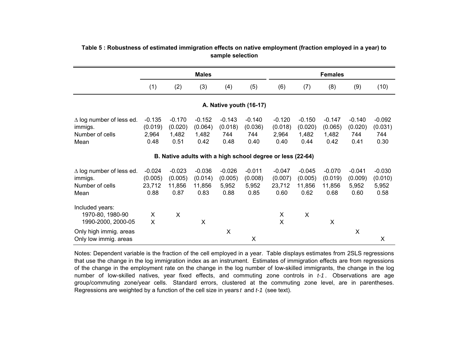|                                                                       |                                       | <b>Males</b>                          |                                       |                                      |                                      | <b>Females</b>                                             |                                       |                                       |                                      |                                      |
|-----------------------------------------------------------------------|---------------------------------------|---------------------------------------|---------------------------------------|--------------------------------------|--------------------------------------|------------------------------------------------------------|---------------------------------------|---------------------------------------|--------------------------------------|--------------------------------------|
|                                                                       | (1)                                   | (2)                                   | (3)                                   | (4)                                  | (5)                                  | (6)                                                        | (7)                                   | (8)                                   | (9)                                  | (10)                                 |
|                                                                       |                                       |                                       |                                       |                                      | A. Native youth (16-17)              |                                                            |                                       |                                       |                                      |                                      |
| $\Delta$ log number of less ed.<br>immigs.<br>Number of cells<br>Mean | $-0.135$<br>(0.019)<br>2,964<br>0.48  | $-0.170$<br>(0.020)<br>1,482<br>0.51  | $-0.152$<br>(0.064)<br>1,482<br>0.42  | $-0.143$<br>(0.018)<br>744<br>0.48   | $-0.140$<br>(0.036)<br>744<br>0.40   | $-0.120$<br>(0.018)<br>2,964<br>0.40                       | $-0.150$<br>(0.020)<br>1,482<br>0.44  | $-0.147$<br>(0.065)<br>1,482<br>0.42  | $-0.140$<br>(0.020)<br>744<br>0.41   | $-0.092$<br>(0.031)<br>744<br>0.30   |
|                                                                       |                                       |                                       |                                       |                                      |                                      | B. Native adults with a high school degree or less (22-64) |                                       |                                       |                                      |                                      |
| $\Delta$ log number of less ed.<br>immigs.<br>Number of cells<br>Mean | $-0.024$<br>(0.005)<br>23,712<br>0.88 | $-0.023$<br>(0.005)<br>11,856<br>0.87 | $-0.036$<br>(0.014)<br>11,856<br>0.83 | $-0.026$<br>(0.005)<br>5,952<br>0.88 | $-0.011$<br>(0.008)<br>5,952<br>0.85 | $-0.047$<br>(0.007)<br>23,712<br>0.60                      | $-0.045$<br>(0.005)<br>11,856<br>0.62 | $-0.070$<br>(0.019)<br>11,856<br>0.68 | $-0.041$<br>(0.009)<br>5,952<br>0.60 | $-0.030$<br>(0.010)<br>5,952<br>0.58 |
| Included years:<br>1970-80, 1980-90<br>1990-2000, 2000-05             | X<br>X                                | X                                     | X                                     |                                      |                                      | X<br>X                                                     | X                                     | X                                     |                                      |                                      |
| Only high immig. areas<br>Only low immig. areas                       |                                       |                                       |                                       | X                                    | $\pmb{\times}$                       |                                                            |                                       |                                       | X                                    | X                                    |

# **Table 5 : Robustness of estimated immigration effects on native employment (fraction employed in a year) to sample selection**

Notes: Dependent variable is the fraction of the cell employed in <sup>a</sup> year. Table displays estimates from 2SLS regressions that use the change in the log immigration index as an instrument. Estimates of immigration effects are from regressions of the change in the employment rate on the change in the log number of low-skilled immigrants, the change in the log number of low-skilled natives, year fixed effects, and commuting zone controls in *t-1* . Observations are age group/commuting zone/year cells. Standard errors, clustered at the commuting zone level, are in parentheses. Regressions are weighted by a function of the cell size in years *t* and *t-1* (see text).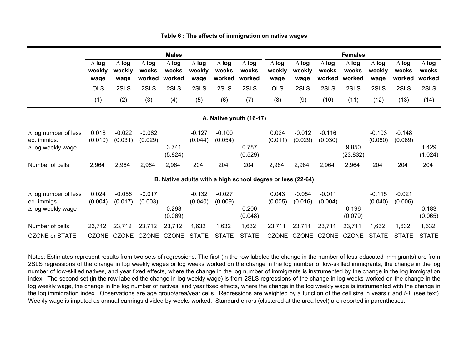|                                                                        |                                |                                |                                 | <b>Males</b>                    |                                |                                 |                                                            |                                |                                |                                 | <b>Females</b>                  |                                |                                 |                                 |
|------------------------------------------------------------------------|--------------------------------|--------------------------------|---------------------------------|---------------------------------|--------------------------------|---------------------------------|------------------------------------------------------------|--------------------------------|--------------------------------|---------------------------------|---------------------------------|--------------------------------|---------------------------------|---------------------------------|
|                                                                        | $\Delta$ log<br>weekly<br>wage | $\Delta$ log<br>weekly<br>wage | $\Delta$ log<br>weeks<br>worked | $\Delta$ log<br>weeks<br>worked | $\Delta$ log<br>weekly<br>wage | $\Delta$ log<br>weeks<br>worked | $\Delta$ log<br>weeks<br>worked                            | $\Delta$ log<br>weekly<br>wage | $\Delta$ log<br>weekly<br>wage | $\Delta$ log<br>weeks<br>worked | $\Delta$ log<br>weeks<br>worked | $\Delta$ log<br>weekly<br>wage | $\Delta$ log<br>weeks<br>worked | $\Delta$ log<br>weeks<br>worked |
|                                                                        | <b>OLS</b>                     | 2SLS                           | 2SLS                            | 2SLS                            | 2SLS                           | 2SLS                            | 2SLS                                                       | <b>OLS</b>                     | 2SLS                           | 2SLS                            | 2SLS                            | 2SLS                           | 2SLS                            | 2SLS                            |
|                                                                        | (1)                            | (2)                            | (3)                             | (4)                             | (5)                            | (6)                             | (7)                                                        | (8)                            | (9)                            | (10)                            | (11)                            | (12)                           | (13)                            | (14)                            |
|                                                                        |                                |                                |                                 |                                 |                                |                                 | A. Native youth (16-17)                                    |                                |                                |                                 |                                 |                                |                                 |                                 |
| $\Delta$ log number of less<br>ed. immigs.<br>$\Delta$ log weekly wage | 0.018<br>(0.010)               | $-0.022$<br>(0.031)            | $-0.082$<br>(0.029)             | 3.741<br>(5.824)                | $-0.127$<br>(0.044)            | $-0.100$<br>(0.054)             | 0.787<br>(0.529)                                           | 0.024<br>(0.011)               | $-0.012$<br>(0.029)            | $-0.116$<br>(0.030)             | 9.850<br>(23.832)               | $-0.103$<br>(0.060)            | $-0.148$<br>(0.069)             | 1.429<br>(1.024)                |
| Number of cells                                                        | 2,964                          | 2,964                          | 2,964                           | 2,964                           | 204                            | 204                             | 204                                                        | 2,964                          | 2,964                          | 2,964                           | 2,964                           | 204                            | 204                             | 204                             |
|                                                                        |                                |                                |                                 |                                 |                                |                                 | B. Native adults with a high school degree or less (22-64) |                                |                                |                                 |                                 |                                |                                 |                                 |
| $\Delta$ log number of less<br>ed. immigs.<br>$\Delta$ log weekly wage | 0.024<br>(0.004)               | $-0.056$<br>(0.017)            | $-0.017$<br>(0.003)             | 0.298<br>(0.069)                | $-0.132$<br>(0.040)            | $-0.027$<br>(0.009)             | 0.200<br>(0.048)                                           | 0.043<br>(0.005)               | $-0.054$<br>(0.016)            | $-0.011$<br>(0.004)             | 0.196<br>(0.079)                | $-0.115$<br>(0.040)            | $-0.021$<br>(0.006)             | 0.183<br>(0.065)                |
| Number of cells                                                        | 23,712                         | 23,712                         | 23,712                          | 23,712                          | 1,632                          | 1,632                           | 1,632                                                      | 23,711                         | 23,711                         | 23,711                          | 23,711                          | 1,632                          | 1,632                           | 1,632                           |
| <b>CZONE or STATE</b>                                                  | <b>CZONE</b>                   | CZONE                          | CZONE                           | <b>CZONE</b>                    | <b>STATE</b>                   | <b>STATE</b>                    | <b>STATE</b>                                               | <b>CZONE</b>                   |                                | CZONE CZONE                     | <b>CZONE</b>                    | <b>STATE</b>                   | <b>STATE</b>                    | <b>STATE</b>                    |

#### **Table 6 : The effects of immigration on native wages**

Notes: Estimates represent results from two sets of regressions. The first (in the row labeled the change in the number of less-educated immigrants) are from 2SLS regressions of the change in log weekly wages or log weeks worked on the change in the log number of low-skilled immigrants, the change in the log number of low-skilled natives, and year fixed effects, where the change in the log number of immigrants is instrumented by the change in the log immigration index. The second set (in the row labeled the change in log weekly wage) is from 2SLS regressions of the change in log weeks worked on the change in the log weekly wage, the change in the log number of natives, and year fixed effects, where the change in the log weekly wage is instrumented with the change in the log immigration index. Observations are age group/area/year cells. Regressions are weighted by <sup>a</sup> function of the cell size in years *t* and *t-1* (see text). Weekly wage is imputed as annual earnings divided by weeks worked. Standard errors (clustered at the area level) are reported in parentheses.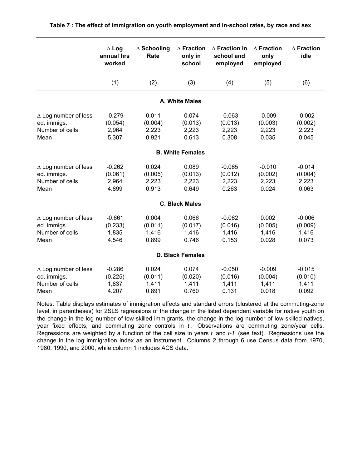|                                                                       | $\Delta$ Log<br>annual hrs<br>worked  | $\Delta$ Schooling<br>Rate         | $\Delta$ Fraction<br>only in<br>school | $\wedge$ Fraction in<br>school and<br>employed | $\wedge$ Fraction<br>only<br>employed | $\wedge$ Fraction<br>idle             |  |  |
|-----------------------------------------------------------------------|---------------------------------------|------------------------------------|----------------------------------------|------------------------------------------------|---------------------------------------|---------------------------------------|--|--|
|                                                                       | (1)                                   | (2)                                | (3)                                    | (4)                                            | (5)                                   | (6)                                   |  |  |
|                                                                       |                                       |                                    | A. White Males                         |                                                |                                       |                                       |  |  |
| $\Delta$ Log number of less<br>ed. immigs.<br>Number of cells<br>Mean | $-0.279$<br>(0.054)<br>2,964<br>5.307 | 0.011<br>(0.004)<br>2,223<br>0.921 | 0.074<br>(0.013)<br>2,223<br>0.613     | $-0.063$<br>(0.013)<br>2,223<br>0.308          | $-0.009$<br>(0.003)<br>2,223<br>0.035 | $-0.002$<br>(0.002)<br>2,223<br>0.045 |  |  |
| <b>B. White Females</b>                                               |                                       |                                    |                                        |                                                |                                       |                                       |  |  |
| $\Delta$ Log number of less<br>ed. immigs.<br>Number of cells<br>Mean | $-0.262$<br>(0.061)<br>2,964<br>4.899 | 0.024<br>(0.005)<br>2,223<br>0.913 | 0.089<br>(0.013)<br>2,223<br>0.649     | $-0.065$<br>(0.012)<br>2,223<br>0.263          | $-0.010$<br>(0.002)<br>2,223<br>0.024 | $-0.014$<br>(0.004)<br>2,223<br>0.063 |  |  |
|                                                                       |                                       |                                    | <b>C. Black Males</b>                  |                                                |                                       |                                       |  |  |
| $\Delta$ Log number of less<br>ed. immigs.<br>Number of cells<br>Mean | $-0.661$<br>(0.233)<br>1,835<br>4.546 | 0.004<br>(0.011)<br>1,416<br>0.899 | 0.066<br>(0.017)<br>1,416<br>0.746     | $-0.062$<br>(0.016)<br>1,416<br>0.153          | 0.002<br>(0.005)<br>1,416<br>0.028    | $-0.006$<br>(0.009)<br>1,416<br>0.073 |  |  |
| <b>D. Black Females</b>                                               |                                       |                                    |                                        |                                                |                                       |                                       |  |  |
| $\Delta$ Log number of less<br>ed. immigs.<br>Number of cells<br>Mean | $-0.286$<br>(0.225)<br>1,837<br>4.207 | 0.024<br>(0.011)<br>1,411<br>0.891 | 0.074<br>(0.020)<br>1,411<br>0.760     | $-0.050$<br>(0.016)<br>1,411<br>0.131          | $-0.009$<br>(0.004)<br>1,411<br>0.018 | $-0.015$<br>(0.010)<br>1,411<br>0.092 |  |  |

Notes: Table displays estimates of immigration effects and standard errors (clustered at the commuting-zone level, in parentheses) for 2SLS regressions of the change in the listed dependent variable for native youth on the change in the log number of low-skilled immigrants, the change in the log number of low-skilled natives, year fixed effects, and commuting zone controls in *t*. Observations are commuting zone/year cells. Regressions are weighted by a function of the cell size in years *t* and *t-1* (see text). Regressions use the change in the log immigration index as an instrument. Columns 2 through 6 use Census data from 1970, 1980, 1990, and 2000, while column 1 includes ACS data.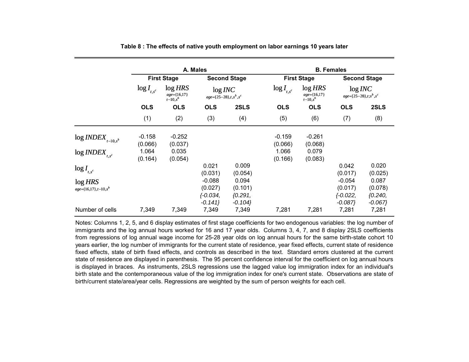|                                                     |                     |                                           | A. Males                                       |                                           |                     | <b>B.</b> Females                     |                                                |                                           |  |
|-----------------------------------------------------|---------------------|-------------------------------------------|------------------------------------------------|-------------------------------------------|---------------------|---------------------------------------|------------------------------------------------|-------------------------------------------|--|
|                                                     |                     | <b>First Stage</b>                        |                                                | <b>Second Stage</b>                       |                     | <b>First Stage</b>                    |                                                | <b>Second Stage</b>                       |  |
|                                                     | $\log I_{t,s^c}$    | $log$ HRS<br>age={16,17}<br>$t - 10, s^b$ | log INC<br>$age = \{25-28\}, t, s^b, s^c$      |                                           | $\log I_{_{t,s^c}}$ | log HRS<br>age={16,17}<br>$t-10, s^b$ | log INC<br>$age = \{25-28\}, t; s^b, s^c$      |                                           |  |
|                                                     | <b>OLS</b>          | <b>OLS</b>                                | <b>OLS</b>                                     | 2SLS                                      | <b>OLS</b>          | <b>OLS</b>                            | <b>OLS</b>                                     | 2SLS                                      |  |
|                                                     | (1)                 | (2)                                       | (3)                                            | (4)                                       | (5)                 | (6)                                   | (7)                                            | (8)                                       |  |
| $\log\textit{INDEX}_{t-10,s^b}$                     | $-0.158$<br>(0.066) | $-0.252$<br>(0.037)                       |                                                |                                           | $-0.159$<br>(0.066) | $-0.261$<br>(0.068)                   |                                                |                                           |  |
| $log$ <i>INDEX</i> <sub><math>_{t,s^c}</math></sub> | 1.064<br>(0.164)    | 0.035<br>(0.054)                          |                                                |                                           | 1.066<br>(0.166)    | 0.079<br>(0.083)                      |                                                |                                           |  |
| $\log I_{t,s^c}$                                    |                     |                                           | 0.021<br>(0.031)                               | 0.009<br>(0.054)                          |                     |                                       | 0.042<br>(0.017)                               | 0.020<br>(0.025)                          |  |
| log HRS<br>$age = {16,17}, t-10, s^b$               |                     |                                           | $-0.088$<br>(0.027)<br>$\{-0.034,$<br>$-0.141$ | 0.094<br>(0.101)<br>${0.291,$<br>$-0.104$ |                     |                                       | $-0.054$<br>(0.017)<br>$\{-0.022,$<br>$-0.087$ | 0.087<br>(0.078)<br>${0.240,$<br>$-0.067$ |  |
| Number of cells                                     | 7,349               | 7,349                                     | 7,349                                          | 7,349                                     | 7,281               | 7,281                                 | 7,281                                          | 7,281                                     |  |

**Table 8 : The effects of native youth employment on labor earnings 10 years later**

Notes: Columns 1, 2, 5, and 6 display estimates of first stage coefficients for two endogenous variables: the log number of immigrants and the log annual hours worked for 16 and 17 year olds. Columns 3, 4, 7, and 8 display 2SLS coefficients from regressions of log annual wage income for 25-28 year olds on log annual hours for the same birth-state cohort 10 years earlier, the log number of immigrants for the current state of residence, year fixed effects, current state of residence fixed effects, state of birth fixed effects, and controls as described in the text. Standard errors clustered at the current state of residence are displayed in parenthesis. The 95 percent confidence interval for the coefficient on log annual hours is displayed in braces. As instruments, 2SLS regressions use the lagged value log immigration index for an individual's birth state and the contemporaneous value of the log immigration index for one's current state. Observations are state of birth/current state/area/year cells. Regressions are weighted by the sum of person weights for each cell.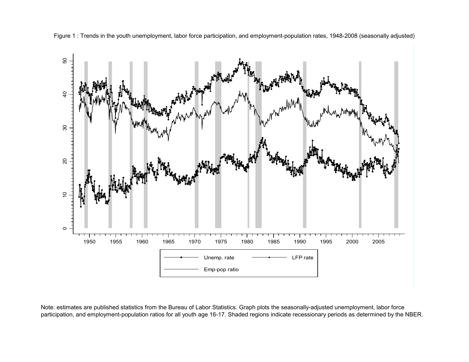

Figure 1 : Trends in the youth unemployment, labor force participation, and employment-population rates, 1948-2008 (seasonally adjusted)

Note: estimates are published statistics from the Bureau of Labor Statistics. Graph plots the seasonally-adjusted unemployment, labor force participation, and employment-population ratios for all youth age 16-17. Shaded regions indicate recessionary periods as determined by the NBER.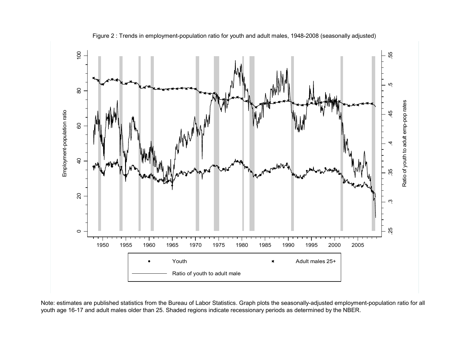

Figure 2 : Trends in employment-population ratio for youth and adult males, 1948-2008 (seasonally adjusted)

Note: estimates are published statistics from the Bureau of Labor Statistics. Graph plots the seasonally-adjusted employment-population ratio for all youth age 16-17 and adult males older than 25. Shaded regions indicate recessionary periods as determined by the NBER.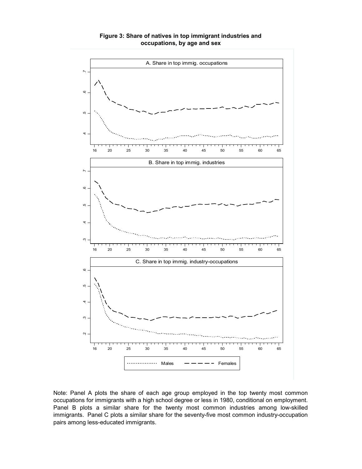

**Figure 3: Share of natives in top immigrant industries and occupations, by age and sex**

Note: Panel A plots the share of each age group employed in the top twenty most common occupations for immigrants with a high school degree or less in 1980, conditional on employment. Panel B plots a similar share for the twenty most common industries among low-skilled immigrants. Panel C plots a similar share for the seventy-five most common industry-occupation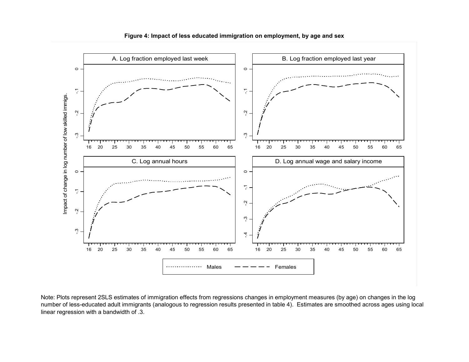

**Figure 4: Impact of less educated immigration on employment, by age and sex**

Note: Plots represent 2SLS estimates of immigration effects from regressions changes in employment measures (by age) on changes in the log number of less-educated adult immigrants (analogous to regression results presented in table 4). Estimates are smoothed across ages using local linear regression with a bandwidth of .3.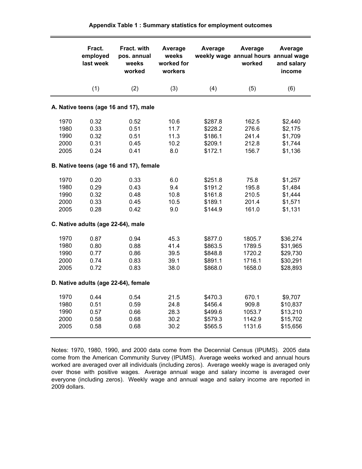|                                      | Fract.<br>employed<br>last week      | Fract. with<br>pos. annual<br>weeks<br>worked | Average<br>weeks<br>worked for<br>workers | Average                                             | Average<br>weekly wage annual hours annual wage<br>worked | Average<br>and salary<br>income                          |
|--------------------------------------|--------------------------------------|-----------------------------------------------|-------------------------------------------|-----------------------------------------------------|-----------------------------------------------------------|----------------------------------------------------------|
|                                      | (1)                                  | (2)                                           | (3)                                       | (4)                                                 | (5)                                                       | (6)                                                      |
|                                      |                                      | A. Native teens (age 16 and 17), male         |                                           |                                                     |                                                           |                                                          |
| 1970<br>1980<br>1990<br>2000<br>2005 | 0.32<br>0.33<br>0.32<br>0.31<br>0.24 | 0.52<br>0.51<br>0.51<br>0.45<br>0.41          | 10.6<br>11.7<br>11.3<br>10.2<br>8.0       | \$287.8<br>\$228.2<br>\$186.1<br>\$209.1<br>\$172.1 | 162.5<br>276.6<br>241.4<br>212.8<br>156.7                 | \$2,440<br>\$2,175<br>\$1,709<br>\$1,744<br>\$1,136      |
|                                      |                                      | B. Native teens (age 16 and 17), female       |                                           |                                                     |                                                           |                                                          |
| 1970<br>1980<br>1990<br>2000<br>2005 | 0.20<br>0.29<br>0.32<br>0.33<br>0.28 | 0.33<br>0.43<br>0.48<br>0.45<br>0.42          | 6.0<br>9.4<br>10.8<br>10.5<br>9.0         | \$251.8<br>\$191.2<br>\$161.8<br>\$189.1<br>\$144.9 | 75.8<br>195.8<br>210.5<br>201.4<br>161.0                  | \$1,257<br>\$1,484<br>\$1,444<br>\$1,571<br>\$1,131      |
|                                      | C. Native adults (age 22-64), male   |                                               |                                           |                                                     |                                                           |                                                          |
| 1970<br>1980<br>1990<br>2000<br>2005 | 0.87<br>0.80<br>0.77<br>0.74<br>0.72 | 0.94<br>0.88<br>0.86<br>0.83<br>0.83          | 45.3<br>41.4<br>39.5<br>39.1<br>38.0      | \$877.0<br>\$863.5<br>\$848.8<br>\$891.1<br>\$868.0 | 1805.7<br>1789.5<br>1720.2<br>1716.1<br>1658.0            | \$36,274<br>\$31,965<br>\$29,730<br>\$30,291<br>\$28,893 |
|                                      |                                      | D. Native adults (age 22-64), female          |                                           |                                                     |                                                           |                                                          |
| 1970<br>1980<br>1990<br>2000<br>2005 | 0.44<br>0.51<br>0.57<br>0.58<br>0.58 | 0.54<br>0.59<br>0.66<br>0.68<br>0.68          | 21.5<br>24.8<br>28.3<br>30.2<br>30.2      | \$470.3<br>\$456.4<br>\$499.6<br>\$579.3<br>\$565.5 | 670.1<br>909.8<br>1053.7<br>1142.9<br>1131.6              | \$9,707<br>\$10,837<br>\$13,210<br>\$15,702<br>\$15,656  |

Notes: 1970, 1980, 1990, and 2000 data come from the Decennial Census (IPUMS). 2005 data come from the American Community Survey (IPUMS). Average weeks worked and annual hours worked are averaged over all individuals (including zeros). Average weekly wage is averaged only over those with positive wages. Average annual wage and salary income is averaged over everyone (including zeros). Weekly wage and annual wage and salary income are reported in 2009 dollars.